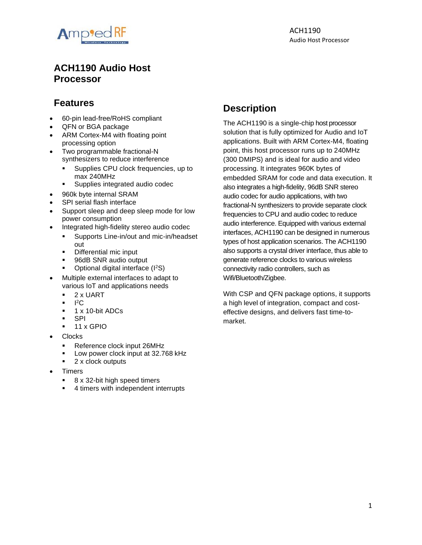

# **ACH1190 Audio Host Processor**

# **Features**

- 60-pin lead-free/RoHS compliant
- QFN or BGA package
- ARM Cortex-M4 with floating point processing option
- Two programmable fractional-N synthesizers to reduce interference
	- Supplies CPU clock frequencies, up to max 240MHz
	- Supplies integrated audio codec
- 960k byte internal SRAM
- SPI serial flash interface
- Support sleep and deep sleep mode for low power consumption
- Integrated high-fidelity stereo audio codec
	- **EXECUTE:** Supports Line-in/out and mic-in/headset out
	- Differential mic input
	- 96dB SNR audio output
	- Optional digital interface (I<sup>2</sup>S)
- Multiple external interfaces to adapt to various IoT and applications needs
	- 2 x UART
	- $\blacksquare$   $\blacksquare$   $\blacksquare$
	- 1 x 10-bit ADCs
	- **SPI**
	- 11 x GPIO
- Clocks
	- Reference clock input 26MHz
	- Low power clock input at 32.768 kHz
	- 2 x clock outputs
- **Timers** 
	- 8 x 32-bit high speed timers
	- 4 timers with independent interrupts

# **Description**

The ACH1190 is a single-chip host processor solution that is fully optimized for Audio and IoT applications. Built with ARM Cortex-M4, floating point, this host processor runs up to 240MHz (300 DMIPS) and is ideal for audio and video processing. It integrates 960K bytes of embedded SRAM for code and data execution. It also integrates a high-fidelity, 96dB SNR stereo audio codec for audio applications, with two fractional-N synthesizers to provide separate clock frequencies to CPU and audio codec to reduce audio interference. Equipped with various external interfaces, ACH1190 can be designed in numerous types of host application scenarios. The ACH1190 also supports a crystal driver interface, thus able to generate reference clocks to various wireless connectivity radio controllers, such as Wifi/Bluetooth/Zigbee.

With CSP and QFN package options, it supports a high level of integration, compact and costeffective designs, and delivers fast time-tomarket.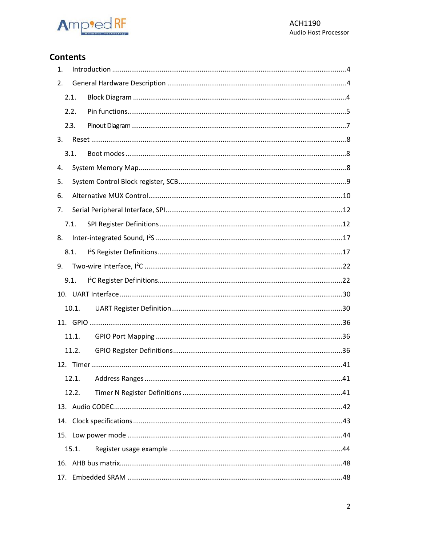

# **Contents**

| 1. |       |  |
|----|-------|--|
| 2. |       |  |
|    | 2.1.  |  |
|    | 2.2.  |  |
|    | 2.3.  |  |
| 3. |       |  |
|    | 3.1.  |  |
| 4. |       |  |
| 5. |       |  |
| 6. |       |  |
| 7. |       |  |
|    | 7.1.  |  |
| 8. |       |  |
|    | 8.1.  |  |
| 9. |       |  |
|    | 9.1.  |  |
|    |       |  |
|    | 10.1. |  |
|    |       |  |
|    | 11.1. |  |
|    | 11.2. |  |
|    |       |  |
|    | 12.1. |  |
|    | 12.2. |  |
|    |       |  |
|    |       |  |
|    |       |  |
|    | 15.1. |  |
|    |       |  |
|    |       |  |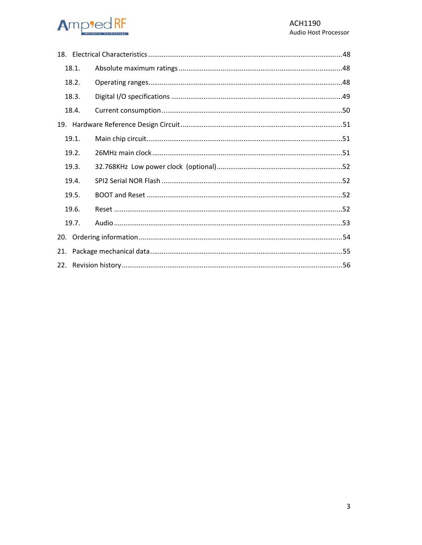#### **Ampted RF**  $\frac{1}{1}$

|       | 18.1. |  |  |  |
|-------|-------|--|--|--|
|       | 18.2. |  |  |  |
|       | 18.3. |  |  |  |
|       | 18.4. |  |  |  |
|       |       |  |  |  |
|       | 19.1. |  |  |  |
|       | 19.2. |  |  |  |
|       | 19.3. |  |  |  |
|       | 19.4. |  |  |  |
|       | 19.5. |  |  |  |
| 19.6. |       |  |  |  |
|       | 19.7. |  |  |  |
| 20.   |       |  |  |  |
|       |       |  |  |  |
|       |       |  |  |  |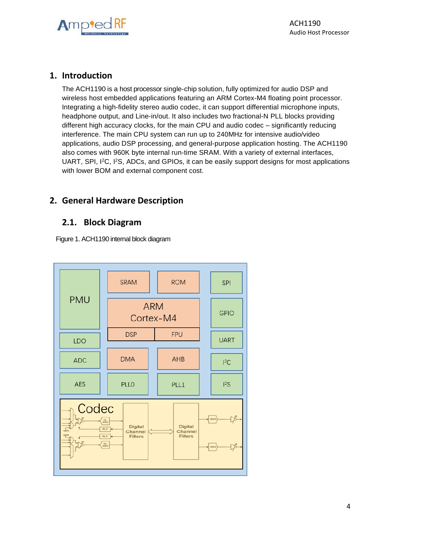

#### <span id="page-3-0"></span>**1. Introduction**

The ACH1190 is a host processor single-chip solution, fully optimized for audio DSP and wireless host embedded applications featuring an ARM Cortex-M4 floating point processor. Integrating a high-fidelity stereo audio codec, it can support differential microphone inputs, headphone output, and Line-in/out. It also includes two fractional-N PLL blocks providing different high accuracy clocks, for the main CPU and audio codec – significantly reducing interference. The main CPU system can run up to 240MHz for intensive audio/video applications, audio DSP processing, and general-purpose application hosting. The ACH1190 also comes with 960K byte internal run-time SRAM. With a variety of external interfaces, UART, SPI, I<sup>2</sup>C, I<sup>2</sup>S, ADCs, and GPIOs, it can be easily support designs for most applications with lower BOM and external component cost.

# <span id="page-3-2"></span><span id="page-3-1"></span>**2. General Hardware Description**

#### **2.1. Block Diagram**

Figure 1. ACH1190 internal block diagram

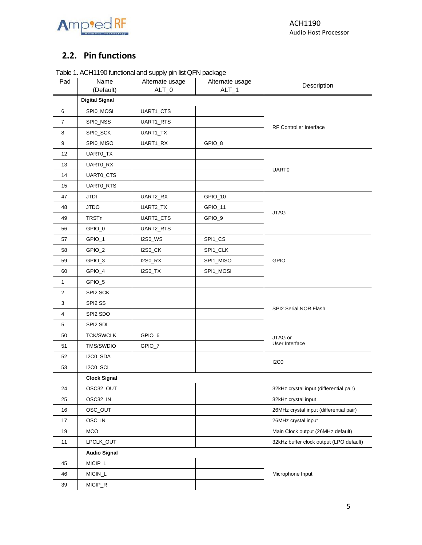

# <span id="page-4-0"></span>**2.2. Pin functions**

| Table 1. ACH1190 functional and supply pin list QFN package |
|-------------------------------------------------------------|
|-------------------------------------------------------------|

| Pad            | Name                  | Alternate usage | Alternate usage | Description                             |
|----------------|-----------------------|-----------------|-----------------|-----------------------------------------|
|                | (Default)             | $ALT_0$         | $ALT_1$         |                                         |
|                | <b>Digital Signal</b> |                 |                 |                                         |
| 6              | SPI0_MOSI             | UART1_CTS       |                 |                                         |
| $\overline{7}$ | SPI0_NSS              | UART1_RTS       |                 | RF Controller Interface                 |
| 8              | SPI0_SCK              | UART1_TX        |                 |                                         |
| 9              | SPI0_MISO             | UART1_RX        | GPIO_8          |                                         |
| 12             | UARTO_TX              |                 |                 |                                         |
| 13             | UART0_RX              |                 |                 | <b>UART0</b>                            |
| 14             | UART0_CTS             |                 |                 |                                         |
| 15             | UARTO_RTS             |                 |                 |                                         |
| 47             | <b>JTDI</b>           | UART2_RX        | GPIO_10         |                                         |
| 48             | <b>JTDO</b>           | UART2_TX        | GPIO_11         | <b>JTAG</b>                             |
| 49             | <b>TRSTn</b>          | UART2_CTS       | GPIO_9          |                                         |
| 56             | GPIO_0                | UART2_RTS       |                 |                                         |
| 57             | GPIO_1                | <b>I2S0_WS</b>  | SPI1_CS         |                                         |
| 58             | GPIO_2                | <b>I2S0_CK</b>  | SPI1_CLK        |                                         |
| 59             | GPIO_3                | <b>I2S0_RX</b>  | SPI1_MISO       | GPIO                                    |
| 60             | GPIO_4                | <b>I2S0_TX</b>  | SPI1_MOSI       |                                         |
| 1              | GPIO_5                |                 |                 |                                         |
| 2              | SPI2 SCK              |                 |                 |                                         |
| 3              | SPI2 SS               |                 |                 | SPI2 Serial NOR Flash                   |
| 4              | SPI2 SDO              |                 |                 |                                         |
| 5              | SPI2 SDI              |                 |                 |                                         |
| 50             | <b>TCK/SWCLK</b>      | GPIO_6          |                 | JTAG or                                 |
| 51             | TMS/SWDIO             | GPIO_7          |                 | User Interface                          |
| 52             | I2C0_SDA              |                 |                 |                                         |
| 53             | I2C0_SCL              |                 |                 | <b>I2C0</b>                             |
|                | <b>Clock Signal</b>   |                 |                 |                                         |
| 24             | OSC32_OUT             |                 |                 | 32kHz crystal input (differential pair) |
| 25             | OSC32_IN              |                 |                 | 32kHz crystal input                     |
| 16             | OSC_OUT               |                 |                 | 26MHz crystal input (differential pair) |
| 17             | OSC_IN                |                 |                 | 26MHz crystal input                     |
| 19             | MCO                   |                 |                 | Main Clock output (26MHz default)       |
| 11             | LPCLK_OUT             |                 |                 | 32kHz buffer clock output (LPO default) |
|                | <b>Audio Signal</b>   |                 |                 |                                         |
| 45             | MICIP_L               |                 |                 |                                         |
| 46             | MICIN_L               |                 |                 | Microphone Input                        |
| 39             | MICIP_R               |                 |                 |                                         |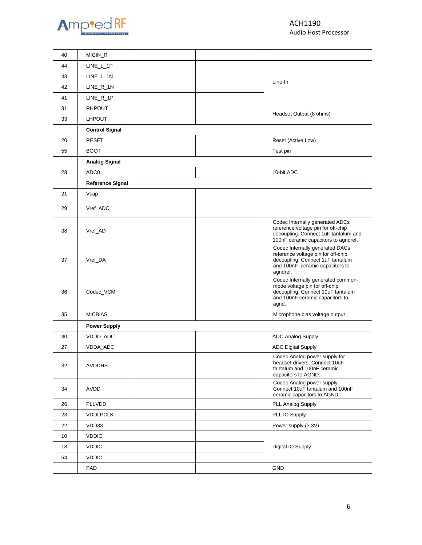

| 40 | MICIN_R                 |  |                                                                                                                                                          |
|----|-------------------------|--|----------------------------------------------------------------------------------------------------------------------------------------------------------|
| 44 | $LINE_L_1P$             |  |                                                                                                                                                          |
| 43 | $LINE_L_1N$             |  | Line-In                                                                                                                                                  |
| 42 | $LINE_R_1N$             |  |                                                                                                                                                          |
| 41 | $LINE_R_1P$             |  |                                                                                                                                                          |
| 31 | <b>RHPOUT</b>           |  |                                                                                                                                                          |
| 33 | <b>LHPOUT</b>           |  | Headset Output (8 ohms)                                                                                                                                  |
|    | <b>Control Signal</b>   |  |                                                                                                                                                          |
| 20 | <b>RESET</b>            |  | Reset (Active Low)                                                                                                                                       |
| 55 | <b>BOOT</b>             |  | Test pin                                                                                                                                                 |
|    | <b>Analog Signal</b>    |  |                                                                                                                                                          |
| 28 | ADC0                    |  | 10-bit ADC                                                                                                                                               |
|    | <b>Reference Signal</b> |  |                                                                                                                                                          |
| 21 | Vcap                    |  |                                                                                                                                                          |
| 29 | Vref_ADC                |  |                                                                                                                                                          |
| 38 | Vref_AD                 |  | Codec Internally generated ADCs<br>reference voltage pin for off-chip<br>decoupling. Connect 1uF tantalum and<br>100nF ceramic capacitors to agndref.    |
| 37 | Vref_DA                 |  | Codec Internally generated DACs<br>reference voltage pin for off-chip<br>decoupling. Connect 1uF tantalum<br>and 100nF ceramic capacitors to<br>agndref. |
| 36 | Codec_VCM               |  | Codec Internally generated common-<br>mode voltage pin for off-chip<br>decoupling. Connect 10uF tantalum<br>and 100nF ceramic capacitors to<br>agnd.     |
| 35 | <b>MICBIAS</b>          |  | Microphone bias voltage output                                                                                                                           |
|    | <b>Power Supply</b>     |  |                                                                                                                                                          |
| 30 | VDDD_ADC                |  | <b>ADC Analog Supply</b>                                                                                                                                 |
| 27 | VDDA_ADC                |  | <b>ADC Digital Supply</b>                                                                                                                                |
| 32 | <b>AVDDHS</b>           |  | Codec Analog power supply for<br>headset drivers. Connect 10uF<br>tantalum and 100nF ceramic<br>capacitors to AGND.                                      |
| 34 | AVDD                    |  | Codec Analog power supply.<br>Connect 10uF tantalum and 100nF<br>ceramic capacitors to AGND.                                                             |
| 26 | <b>PLLVDD</b>           |  | PLL Analog Supply                                                                                                                                        |
| 23 | <b>VDDLPCLK</b>         |  | PLL IO Supply                                                                                                                                            |
| 22 | VDD33                   |  | Power supply (3.3V)                                                                                                                                      |
| 10 | <b>VDDIO</b>            |  |                                                                                                                                                          |
| 18 | <b>VDDIO</b>            |  | Digital IO Supply                                                                                                                                        |
| 54 | <b>VDDIO</b>            |  |                                                                                                                                                          |
|    | PAD                     |  | <b>GND</b>                                                                                                                                               |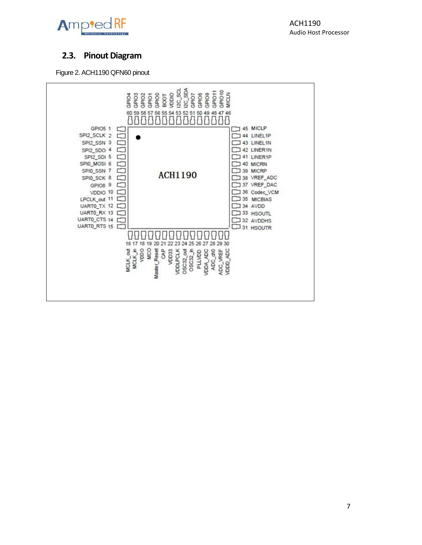

# <span id="page-6-0"></span>**2.3. Pinout Diagram**

Figure 2. ACH1190 QFN60 pinout

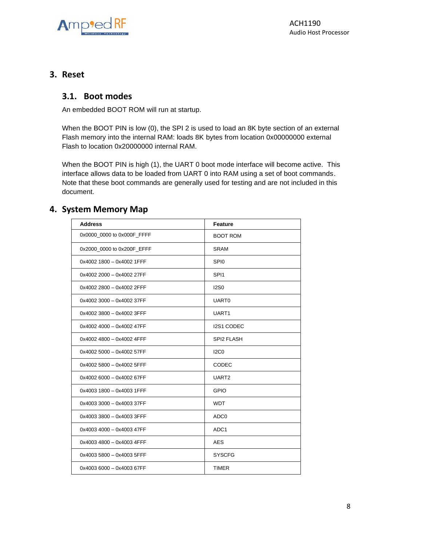

#### <span id="page-7-1"></span><span id="page-7-0"></span>**3. Reset**

#### **3.1. Boot modes**

An embedded BOOT ROM will run at startup.

When the BOOT PIN is low (0), the SPI 2 is used to load an 8K byte section of an external Flash memory into the internal RAM: loads 8K bytes from location 0x00000000 external Flash to location 0x20000000 internal RAM.

When the BOOT PIN is high (1), the UART 0 boot mode interface will become active. This interface allows data to be loaded from UART 0 into RAM using a set of boot commands. Note that these boot commands are generally used for testing and are not included in this document.

#### <span id="page-7-2"></span>**4. System Memory Map**

| <b>Address</b>             | Feature           |
|----------------------------|-------------------|
| 0x0000_0000 to 0x000F_FFFF | <b>BOOT ROM</b>   |
| 0x2000_0000 to 0x200F_EFFF | <b>SRAM</b>       |
| 0x4002 1800 - 0x4002 1FFF  | SPI <sub>0</sub>  |
| 0x4002 2000 - 0x4002 27FF  | SPI <sub>1</sub>  |
| 0x4002 2800 - 0x4002 2FFF  | <b>I2S0</b>       |
| 0x4002 3000 - 0x4002 37FF  | UART <sub>0</sub> |
| 0x4002 3800 - 0x4002 3FFF  | UART1             |
| 0x4002 4000 - 0x4002 47FF  | I2S1 CODEC        |
| 0x4002 4800 - 0x4002 4FFF  | <b>SPI2 FLASH</b> |
| 0x4002 5000 - 0x4002 57FF  | 12C <sub>0</sub>  |
| 0x4002 5800 - 0x4002 5FFF  | <b>CODEC</b>      |
| 0x4002 6000 - 0x4002 67FF  | UART <sub>2</sub> |
| 0x4003 1800 - 0x4003 1FFF  | <b>GPIO</b>       |
| 0x4003 3000 - 0x4003 37FF  | <b>WDT</b>        |
| 0x4003 3800 - 0x4003 3FFF  | ADC <sub>0</sub>  |
| 0x4003 4000 - 0x4003 47FF  | ADC <sub>1</sub>  |
| 0x4003 4800 - 0x4003 4FFF  | AES               |
| 0x4003 5800 - 0x4003 5FFF  | <b>SYSCFG</b>     |
| 0x4003 6000 - 0x4003 67FF  | <b>TIMER</b>      |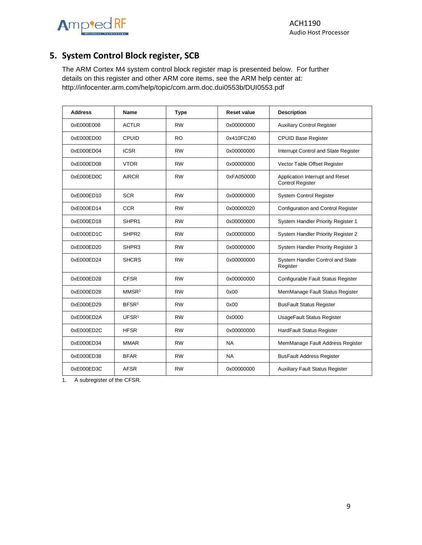



# <span id="page-8-0"></span>**5. System Control Block register, SCB**

The ARM Cortex M4 system control block register map is presented below. For further details on this register and other ARM core items, see the ARM help center at: <http://infocenter.arm.com/help/topic/com.arm.doc.dui0553b/DUI0553.pdf>

| <b>Address</b> | Name              | <b>Type</b> | <b>Reset value</b> | <b>Description</b>                                         |
|----------------|-------------------|-------------|--------------------|------------------------------------------------------------|
| 0xE000E008     | <b>ACTLR</b>      | <b>RW</b>   | 0x00000000         | <b>Auxiliary Control Register</b>                          |
| 0xE000ED00     | CPUID             | RO.         | 0x410FC240         | <b>CPUID Base Register</b>                                 |
| 0xE000ED04     | <b>ICSR</b>       | <b>RW</b>   | 0x00000000         | Interrupt Control and State Register                       |
| 0xE000ED08     | <b>VTOR</b>       | <b>RW</b>   | 0x00000000         | Vector Table Offset Register                               |
| 0xE000ED0C     | <b>AIRCR</b>      | <b>RW</b>   | 0xFA050000         | Application Interrupt and Reset<br><b>Control Register</b> |
| 0xE000ED10     | <b>SCR</b>        | <b>RW</b>   | 0x00000000         | <b>System Control Register</b>                             |
| 0xE000ED14     | <b>CCR</b>        | <b>RW</b>   | 0x00000020         | Configuration and Control Register                         |
| 0xE000ED18     | SHPR1             | <b>RW</b>   | 0x00000000         | System Handler Priority Register 1                         |
| 0xE000ED1C     | SHPR <sub>2</sub> | <b>RW</b>   | 0x00000000         | System Handler Priority Register 2                         |
| 0xE000ED20     | SHPR3             | <b>RW</b>   | 0x00000000         | System Handler Priority Register 3                         |
| 0xE000ED24     | <b>SHCRS</b>      | <b>RW</b>   | 0x00000000         | System Handler Control and State<br>Register               |
| 0xE000ED28     | <b>CFSR</b>       | <b>RW</b>   | 0x00000000         | Configurable Fault Status Register                         |
| 0xE000ED28     | MMSR <sup>1</sup> | <b>RW</b>   | 0x00               | MemManage Fault Status Register                            |
| 0xE000ED29     | BFSR <sup>1</sup> | <b>RW</b>   | 0x00               | <b>BusFault Status Register</b>                            |
| 0xE000ED2A     | UFSR <sup>1</sup> | <b>RW</b>   | 0x0000             | UsageFault Status Register                                 |
| 0xE000ED2C     | <b>HFSR</b>       | <b>RW</b>   | 0x00000000         | HardFault Status Register                                  |
| 0xE000ED34     | <b>MMAR</b>       | <b>RW</b>   | <b>NA</b>          | MemManage Fault Address Register                           |
| 0xE000ED38     | <b>BFAR</b>       | <b>RW</b>   | <b>NA</b>          | <b>BusFault Address Register</b>                           |
| 0xE000ED3C     | <b>AFSR</b>       | <b>RW</b>   | 0x00000000         | <b>Auxiliary Fault Status Register</b>                     |

1. A subregister of the CFSR.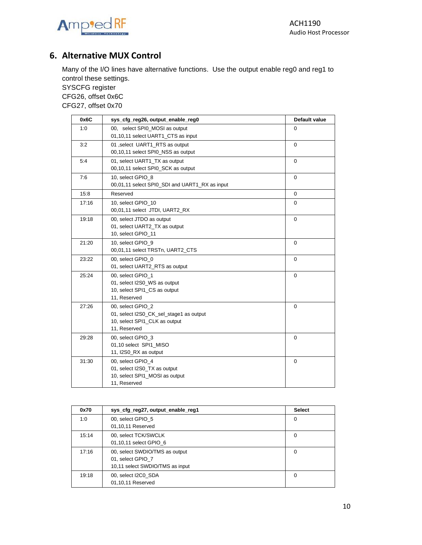

# <span id="page-9-0"></span>**6. Alternative MUX Control**

Many of the I/O lines have alternative functions. Use the output enable reg0 and reg1 to control these settings.

SYSCFG register CFG26, offset 0x6C

CFG27, offset 0x70

| 0x6C  | sys_cfg_reg26, output_enable_reg0                                                                             | Default value |
|-------|---------------------------------------------------------------------------------------------------------------|---------------|
| 1:0   | 00. select SPI0 MOSI as output<br>01,10,11 select UART1 CTS as input                                          | 0             |
| 3:2   | 01 , select UART1 RTS as output<br>00,10,11 select SPI0_NSS as output                                         | $\mathbf 0$   |
| 5:4   | 01, select UART1_TX as output<br>00,10,11 select SPI0_SCK as output                                           | $\mathbf 0$   |
| 7:6   | 10, select GPIO_8<br>00,01,11 select SPI0_SDI and UART1_RX as input                                           | $\mathbf 0$   |
| 15:8  | Reserved                                                                                                      | 0             |
| 17:16 | 10, select GPIO 10<br>00,01,11 select JTDI, UART2_RX                                                          | $\Omega$      |
| 19:18 | 00, select JTDO as output<br>01, select UART2_TX as output<br>10, select GPIO_11                              | $\mathbf 0$   |
| 21:20 | 10, select GPIO 9<br>00,01,11 select TRSTn, UART2_CTS                                                         | $\Omega$      |
| 23:22 | 00, select GPIO 0<br>01, select UART2_RTS as output                                                           | $\mathbf 0$   |
| 25:24 | 00, select GPIO 1<br>01, select I2S0_WS as output<br>10, select SPI1_CS as output<br>11, Reserved             | 0             |
| 27:26 | 00, select GPIO 2<br>01, select I2S0_CK_sel_stage1 as output<br>10, select SPI1_CLK as output<br>11, Reserved | $\Omega$      |
| 29:28 | 00, select GPIO_3<br>01,10 select SPI1 MISO<br>11, I2S0 RX as output                                          | 0             |
| 31:30 | 00, select GPIO 4<br>01, select I2S0_TX as output<br>10, select SPI1_MOSI as output<br>11. Reserved           | $\mathbf 0$   |

| 0x70  | sys_cfg_reg27, output_enable_reg1                                                      | <b>Select</b> |
|-------|----------------------------------------------------------------------------------------|---------------|
| 1:0   | 00, select GPIO 5<br>01,10,11 Reserved                                                 | $\Omega$      |
| 15:14 | 00, select TCK/SWCLK<br>01,10,11 select GPIO 6                                         | $\Omega$      |
| 17:16 | 00, select SWDIO/TMS as output<br>01, select GPIO 7<br>10,11 select SWDIO/TMS as input | 0             |
| 19:18 | 00, select I2C0 SDA<br>01,10,11 Reserved                                               | 0             |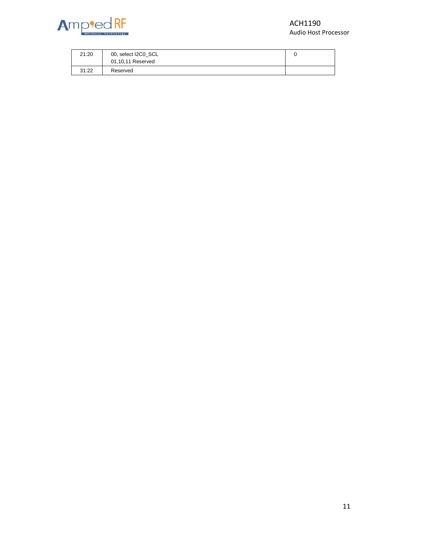

#### ACH1190 Audio Host Processor

| 21:20 | 00, select I2C0 SCL<br>01,10,11 Reserved |  |
|-------|------------------------------------------|--|
| 31:22 | Reserved                                 |  |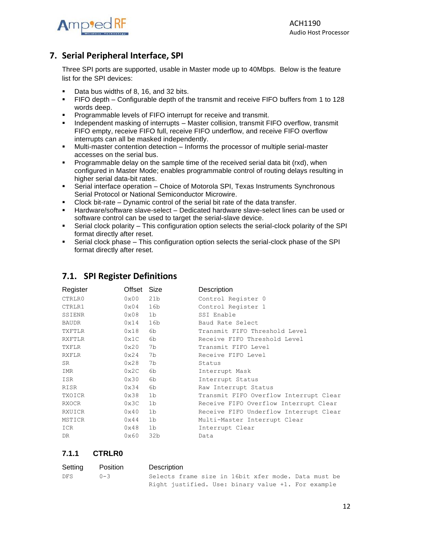

# <span id="page-11-0"></span>**7. Serial Peripheral Interface, SPI**

Three SPI ports are supported, usable in Master mode up to 40Mbps. Below is the feature list for the SPI devices:

- Data bus widths of 8, 16, and 32 bits.
- FIFO depth Configurable depth of the transmit and receive FIFO buffers from 1 to 128 words deep.
- **•** Programmable levels of FIFO interrupt for receive and transmit.
- Independent masking of interrupts Master collision, transmit FIFO overflow, transmit FIFO empty, receive FIFO full, receive FIFO underflow, and receive FIFO overflow interrupts can all be masked independently.
- Multi-master contention detection Informs the processor of multiple serial-master accesses on the serial bus.
- Programmable delay on the sample time of the received serial data bit (rxd), when configured in Master Mode; enables programmable control of routing delays resulting in higher serial data-bit rates.
- **•** Serial interface operation Choice of Motorola SPI, Texas Instruments Synchronous Serial Protocol or National Semiconductor Microwire.
- Clock bit-rate Dynamic control of the serial bit rate of the data transfer.
- **E** Hardware/software slave-select Dedicated hardware slave-select lines can be used or software control can be used to target the serial-slave device.
- **•** Serial clock polarity This configuration option selects the serial-clock polarity of the SPI format directly after reset.
- Serial clock phase This configuration option selects the serial-clock phase of the SPI format directly after reset.

| Offset        | Size            | Description                            |
|---------------|-----------------|----------------------------------------|
| 0x00          | 21 <sub>b</sub> | Control Register 0                     |
| $0\times04$   | 16b             | Control Register 1                     |
| 0x08          | 1 <sub>b</sub>  | SSI Enable                             |
| 0x14          | 16b             | Baud Rate Select                       |
| 0x18          | 6b              | Transmit FIFO Threshold Level          |
| 0x1C          | 6b              | Receive FIFO Threshold Level           |
| 0x20          | 7b              | Transmit FIFO Level                    |
| 0x24          | 7b              | Receive FIFO Level                     |
| 0x28          | 7b              | Status                                 |
| 0x2C          | 6b              | Interrupt Mask                         |
| 0x30          | 6b              | Interrupt Status                       |
| 0x34          | 6b              | Raw Interrupt Status                   |
| 0x38          | 1b              | Transmit FIFO Overflow Interrupt Clear |
| 0x3C          | 1b              | Receive FIFO Overflow Interrupt Clear  |
| 0x40          | 1b              | Receive FIFO Underflow Interrupt Clear |
| $0 \times 44$ | 1b              | Multi-Master Interrupt Clear           |
| 0x48          | 1b              | Interrupt Clear                        |
| 0x60          | 32 <sub>b</sub> | Data                                   |
|               |                 |                                        |

#### <span id="page-11-1"></span>**7.1. SPI Register Definitions**

#### **7.1.1 CTRLR0**

| Setting | Position | Description                                         |
|---------|----------|-----------------------------------------------------|
| DFS.    | $0 - 3$  | Selects frame size in 16bit xfer mode. Data must be |
|         |          | Right justified. Use: binary value +1. For example  |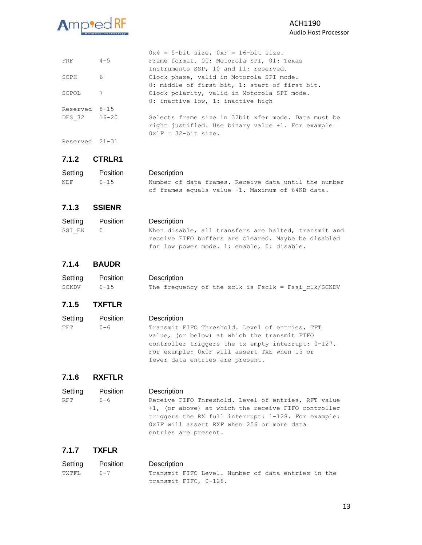

|                |         | $0x4 = 5$ -bit size, $0xF = 16$ -bit size.          |
|----------------|---------|-----------------------------------------------------|
| FRF            | $4 - 5$ | Frame format. 00: Motorola SPI, 01: Texas           |
|                |         | Instruments SSP, 10 and 11: reserved.               |
| SCPH           | 6       | Clock phase, valid in Motorola SPI mode.            |
|                |         | 0: middle of first bit, 1: start of first bit.      |
| SCPOL          | 7       | Clock polarity, valid in Motorola SPI mode.         |
|                |         | 0: inactive low, 1: inactive high                   |
| Reserved 8-15  |         |                                                     |
| DFS 32 16-20   |         | Selects frame size in 32bit xfer mode. Data must be |
|                |         | right justified. Use binary value +1. For example   |
|                |         | $0x1F = 32$ -bit size.                              |
| Reserved 21-31 |         |                                                     |

#### **7.1.2 CTRLR1**

| Setting | Position | Description                                          |
|---------|----------|------------------------------------------------------|
| NDF     | $0 - 15$ | Number of data frames. Receive data until the number |
|         |          | of frames equals value +1. Maximum of 64KB data.     |

#### **7.1.3 SSIENR**

| Setting | Position | Description                                          |
|---------|----------|------------------------------------------------------|
| SSI EN  |          | When disable, all transfers are halted, transmit and |
|         |          | receive FIFO buffers are cleared. Maybe be disabled  |
|         |          | for low power mode. 1: enable, 0: disable.           |

#### **7.1.4 BAUDR**

| Setting Position |          | Description                                             |
|------------------|----------|---------------------------------------------------------|
| SCKDV            | $0 - 15$ | The frequency of the sclk is $Fsclk = Fssi \, ck/SCKDV$ |

#### **7.1.5 TXFTLR**

| Setting | Position | Description                                        |
|---------|----------|----------------------------------------------------|
| ጥFጥ     | $0 - 6$  | Transmit FIFO Threshold. Level of entries, TFT     |
|         |          | value, (or below) at which the transmit FIFO       |
|         |          | controller triggers the tx empty interrupt: 0-127. |
|         |          | For example: 0x0F will assert TXE when 15 or       |
|         |          | fewer data entries are present.                    |

#### **7.1.6 RXFTLR**

| Setting | Position | Description                                                                                                               |
|---------|----------|---------------------------------------------------------------------------------------------------------------------------|
| RFT     | 0-6      | Receive FIFO Threshold. Level of entries, RFT value<br>+1, (or above) at which the receive FIFO controller                |
|         |          | triggers the RX full interrupt: 1-128. For example:<br>0x7F will assert RXF when 256 or more data<br>entries are present. |

#### **7.1.7 TXFLR**

| Setting Position |         | Description                                        |  |  |  |  |
|------------------|---------|----------------------------------------------------|--|--|--|--|
| TXTFL            | $0 - 7$ | Transmit FIFO Level. Number of data entries in the |  |  |  |  |
|                  |         | transmit FIFO, 0-128.                              |  |  |  |  |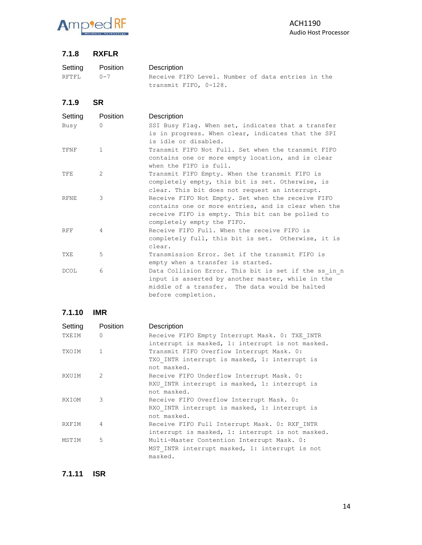

#### **7.1.8 RXFLR**

| Setting | Position | Description                                       |
|---------|----------|---------------------------------------------------|
| RFTFL   | $0 - 7$  | Receive FIFO Level. Number of data entries in the |
|         |          | transmit FIFO, 0-128.                             |

**7.1.9 SR**

| Setting<br>Busy | <b>Position</b><br>$\Omega$ | Description<br>SSI Busy Flaq. When set, indicates that a transfer<br>is in progress. When clear, indicates that the SPI                                                                    |
|-----------------|-----------------------------|--------------------------------------------------------------------------------------------------------------------------------------------------------------------------------------------|
| TFNF            | $\mathbf{1}$                | is idle or disabled.<br>Transmit FIFO Not Full. Set when the transmit FIFO                                                                                                                 |
|                 |                             | contains one or more empty location, and is clear<br>when the $FIFO$ is $full$ .                                                                                                           |
| TFE             | 2                           | Transmit FIFO Empty. When the transmit FIFO is<br>completely empty, this bit is set. Otherwise, is<br>clear. This bit does not request an interrupt.                                       |
| <b>RFNE</b>     | 3                           | Receive FIFO Not Empty. Set when the receive FIFO<br>contains one or more entries, and is clear when the<br>receive FIFO is empty. This bit can be polled to<br>completely empty the FIFO. |
| <b>RFF</b>      | $\overline{4}$              | Receive FIFO Full, When the receive FIFO is<br>completely full, this bit is set. Otherwise, it is<br>clear.                                                                                |
| <b>TXE</b>      | 5                           | Transmission Error. Set if the transmit FIFO is<br>empty when a transfer is started.                                                                                                       |
| <b>DCOL</b>     | 6                           | Data Collision Error. This bit is set if the ss in n<br>input is asserted by another master, while in the<br>middle of a transfer. The data would be halted<br>before completion.          |

**7.1.10 IMR**

| Setting | Position       | Description                                      |
|---------|----------------|--------------------------------------------------|
| TXEIM   | $\overline{0}$ | Receive FIFO Empty Interrupt Mask. 0: TXE INTR   |
|         |                | interrupt is masked, 1: interrupt is not masked. |
| TXOIM   | $\mathbf{1}$   | Transmit FIFO Overflow Interrupt Mask. 0:        |
|         |                | TXO INTR interrupt is masked, 1: interrupt is    |
|         |                | not masked.                                      |
| RXUIM   | $\mathcal{L}$  | Receive FIFO Underflow Interrupt Mask. 0:        |
|         |                | RXU INTR interrupt is masked, 1: interrupt is    |
|         |                | not masked.                                      |
| RXIOM   | 3              | Receive FIFO Overflow Interrupt Mask. 0:         |
|         |                | RXO INTR interrupt is masked, 1: interrupt is    |
|         |                | not masked.                                      |
| RXFIM   | $\overline{4}$ | Receive FIFO Full Interrupt Mask. 0: RXF INTR    |
|         |                | interrupt is masked, 1: interrupt is not masked. |
| MSTIM   | 5              | Multi-Master Contention Interrupt Mask. 0:       |
|         |                | MST INTR interrupt masked, 1: interrupt is not   |
|         |                | masked.                                          |

**7.1.11 ISR**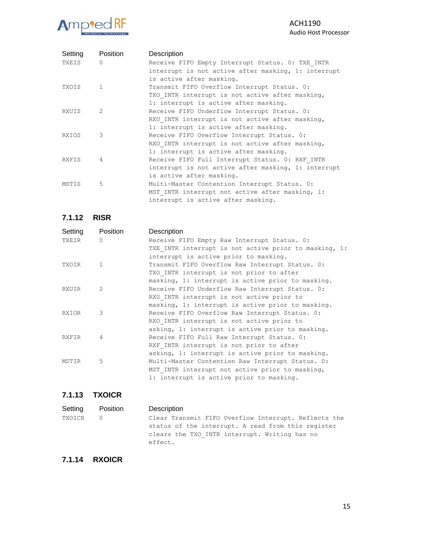#### Amp<sup>9</sup>ed RF  $\frac{1}{1}$

#### ACH1190 Audio Host Processor

| Setting      | Position       | Description                                         |
|--------------|----------------|-----------------------------------------------------|
| TXEIS        | $\bigcap$      | Receive FIFO Empty Interrupt Status. 0: TXE INTR    |
|              |                | interrupt is not active after masking, 1: interrupt |
|              |                | is active after masking.                            |
| <b>TXOTS</b> | $\overline{1}$ | Transmit FIFO Overflow Interrupt Status. 0:         |
|              |                | TXO INTR interrupt is not active after masking,     |
|              |                | 1: interrupt is active after masking.               |
| RXUIS        | 2              | Receive FIFO Underflow Interrupt Status. 0:         |
|              |                | RXU INTR interrupt is not active after masking,     |
|              |                | 1: interrupt is active after masking.               |
| <b>RXTOS</b> | 3              | Receive FIFO Overflow Interrupt Status. 0:          |
|              |                | RXO INTR interrupt is not active after masking,     |
|              |                | 1: interrupt is active after masking.               |
| <b>RXFTS</b> | 4              | Receive FIFO Full Interrupt Status. 0: RXF INTR     |
|              |                | interrupt is not active after masking, 1: interrupt |
|              |                | is active after masking.                            |
| MSTIS        | 5              | Multi-Master Contention Interrupt Status. 0:        |
|              |                | MST INTR interrupt not active after masking, 1:     |
|              |                | interrupt is active after masking.                  |

**7.1.12 RISR**

| Setting       | Position     | Description                                           |
|---------------|--------------|-------------------------------------------------------|
| TXEIR         | $\cap$       | Receive FIFO Empty Raw Interrupt Status. 0:           |
|               |              | TXE INTR interrupt is not active prior to masking, 1: |
|               |              | interrupt is active prior to masking.                 |
| TXOIR         | $\mathbf{1}$ | Transmit FIFO Overflow Raw Interrupt Status. 0:       |
|               |              | TXO INTR interrupt is not prior to after              |
|               |              | masking, 1: interrupt is active prior to masking.     |
| <b>RXIITR</b> | 2            | Receive FIFO Underflow Raw Interrupt Status. 0:       |
|               |              | RXU INTR interrupt is not active prior to             |
|               |              | masking, 1: interrupt is active prior to masking.     |
| <b>RXIOR</b>  | 3            | Receive FIFO Overflow Raw Interrupt Status. 0:        |
|               |              | RXO INTR interrupt is not active prior to             |
|               |              | asking, 1: interrupt is active prior to masking.      |
| <b>RXFTR</b>  | 4            | Receive FIFO Full Raw Interrupt Status. 0:            |
|               |              | RXF INTR interrupt is not prior to after              |
|               |              | asking, 1: interrupt is active prior to masking.      |
| MSTTR         | 5            | Multi-Master Contention Raw Interrupt Status. 0:      |
|               |              | MST INTR interrupt not active prior to masking,       |
|               |              | 1: interrupt is active prior to masking.              |

#### **7.1.13 TXOICR**

| Setting | Position | Description                                                                                                    |
|---------|----------|----------------------------------------------------------------------------------------------------------------|
| TXOICR  |          | Clear Transmit FIFO Overflow Interrupt. Reflects the                                                           |
|         |          | status of the interrupt. A read from this register<br>clears the TXO INTR interrupt. Writing has no<br>effect. |

# **7.1.14 RXOICR**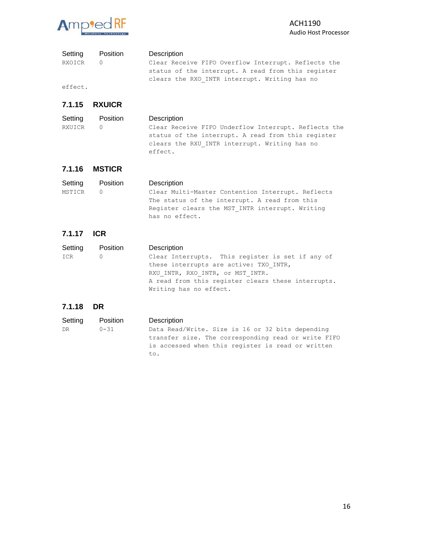

| Setting | Position | Description |
|---------|----------|-------------|
|         |          |             |

RXOICR 0 Clear Receive FIFO Overflow Interrupt. Reflects the status of the interrupt. A read from this register clears the RXO\_INTR interrupt. Writing has no

effect.

#### **7.1.15 RXUICR**

| Setting | Position | Description                                          |
|---------|----------|------------------------------------------------------|
| RXUICR  |          | Clear Receive FIFO Underflow Interrupt. Reflects the |
|         |          | status of the interrupt. A read from this register   |
|         |          | clears the RXU INTR interrupt. Writing has no        |
|         |          | effect.                                              |

#### **7.1.16 MSTICR**

| Setting | Position | Description                                       |
|---------|----------|---------------------------------------------------|
| MSTICR  |          | Clear Multi-Master Contention Interrupt. Reflects |
|         |          | The status of the interrupt. A read from this     |
|         |          | Register clears the MST INTR interrupt. Writing   |
|         |          | has no effect.                                    |

#### **7.1.17 ICR**

| Setting | Position | Description                                        |
|---------|----------|----------------------------------------------------|
| ICR     |          | Clear Interrupts. This register is set if any of   |
|         |          | these interrupts are active: TXO INTR,             |
|         |          | RXU INTR, RXO INTR, or MST INTR.                   |
|         |          | A read from this register clears these interrupts. |
|         |          | Writing has no effect.                             |

#### **7.1.18 DR**

| Setting | Position | Description                                                                                                                                                         |
|---------|----------|---------------------------------------------------------------------------------------------------------------------------------------------------------------------|
| DR      | $0 - 31$ | Data Read/Write. Size is 16 or 32 bits depending<br>transfer size. The corresponding read or write FIFO<br>is accessed when this register is read or written<br>to. |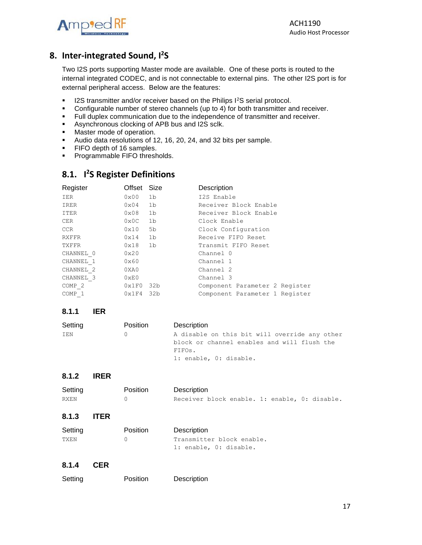

# <span id="page-16-0"></span>**8. Inter-integrated Sound, I 2 S**

Two I2S ports supporting Master mode are available. One of these ports is routed to the internal integrated CODEC, and is not connectable to external pins. The other I2S port is for external peripheral access. Below are the features:

- **■** I2S transmitter and/or receiver based on the Philips I<sup>2</sup>S serial protocol.
- **•** Configurable number of stereo channels (up to 4) for both transmitter and receiver.
- **EXECT FULL duplex communication due to the independence of transmitter and receiver.**
- Asynchronous clocking of APB bus and I2S sclk.
- Master mode of operation.
- Audio data resolutions of 12, 16, 20, 24, and 32 bits per sample.
- **•** FIFO depth of 16 samples.
- **•** Programmable FIFO thresholds.

# <span id="page-16-1"></span>**8.1. I 2 S Register Definitions**

| Register          | Offset Size   |                | Description                    |
|-------------------|---------------|----------------|--------------------------------|
| IER               | 0x00          | 1 <sub>b</sub> | I2S Enable                     |
| IRER              | 0x04          | 1b             | Receiver Block Enable          |
| ITER              | 0x08          | 1b             | Receiver Block Enable          |
| CER               | 0x0C          | 1 <sub>b</sub> | Clock Enable                   |
| CCR.              | 0x10          | 5b             | Clock Configuration            |
| <b>RXFFR</b>      | 0x14          | 1 <sub>b</sub> | Receive FIFO Reset             |
| TXFFR             | 0x18          | 1 <sub>b</sub> | Transmit FIFO Reset            |
| CHANNEL 0         | 0x20          |                | Channel 0                      |
| CHANNEL 1         | 0x60          |                | Channel 1                      |
| CHANNEL 2         | 0XA0          |                | Channel 2                      |
| CHANNEL 3         | $0 \times E0$ |                | Channel 3                      |
| COMP <sub>2</sub> | 0x1F0         | 32b            | Component Parameter 2 Register |
| COMP 1            | 0x1F4         | 32b            | Component Parameter 1 Register |

#### **8.1.1 IER**

| Setting | <b>Position</b> | Description                                   |
|---------|-----------------|-----------------------------------------------|
| IEN     |                 | A disable on this bit will override any other |
|         |                 | block or channel enables and will flush the   |
|         |                 | FIFOs.                                        |
|         |                 | 1: enable, 0: disable.                        |

#### **8.1.2 IRER**

| Setting | <b>Position</b> | Description                                   |
|---------|-----------------|-----------------------------------------------|
| RXEN    |                 | Receiver block enable. 1: enable, 0: disable. |

**8.1.3 ITER**

| Setting | <b>Position</b> | Description               |
|---------|-----------------|---------------------------|
| TXEN    |                 | Transmitter block enable. |
|         |                 | 1: enable, 0: disable.    |

#### **8.1.4 CER**

| Setting |  |
|---------|--|
|         |  |

Position Description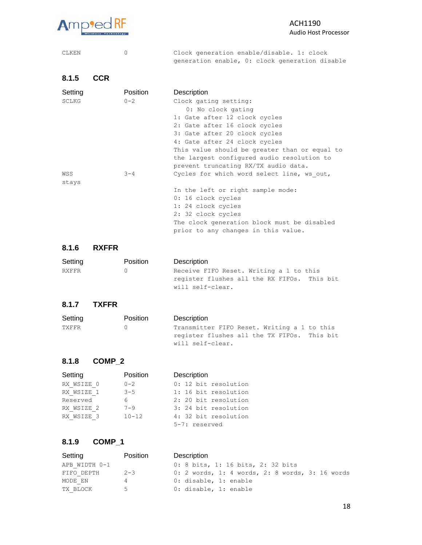

#### ACH1190 Audio Host Processor

CLKEN 0 Clock generation enable/disable. 1: clock generation enable, 0: clock generation disable

| 8.1.5        | <b>CCR</b> |          |                                               |
|--------------|------------|----------|-----------------------------------------------|
| Setting      |            | Position | Description                                   |
| <b>SCLKG</b> |            | $0 - 2$  | Clock gating setting:                         |
|              |            |          | 0: No clock gating                            |
|              |            |          | 1: Gate after 12 clock cycles                 |
|              |            |          | 2: Gate after 16 clock cycles                 |
|              |            |          | 3: Gate after 20 clock cycles                 |
|              |            |          | 4: Gate after 24 clock cycles                 |
|              |            |          | This value should be greater than or equal to |
|              |            |          | the largest configured audio resolution to    |
|              |            |          | prevent truncating RX/TX audio data.          |
| WSS          |            | $3 - 4$  | Cycles for which word select line, ws out,    |
| stays        |            |          |                                               |
|              |            |          | In the left or right sample mode:             |
|              |            |          | 0: 16 clock cycles                            |
|              |            |          | 1: 24 clock cycles                            |
|              |            |          | 2: 32 clock cycles                            |
|              |            |          | The clock generation block must be disabled   |
|              |            |          | prior to any changes in this value.           |

#### **8.1.6 RXFFR**

| Setting | <b>Position</b> | Description                                 |
|---------|-----------------|---------------------------------------------|
| RXFFR   | (1)             | Receive FIFO Reset. Writing a 1 to this     |
|         |                 | register flushes all the RX FIFOs. This bit |
|         |                 | will self-clear.                            |

#### **8.1.7 TXFFR**

| Setting | <b>Position</b> | Description                                 |
|---------|-----------------|---------------------------------------------|
| TXFFR   | (1)             | Transmitter FIFO Reset. Writing a 1 to this |
|         |                 | register flushes all the TX FIFOs. This bit |
|         |                 | will self-clear.                            |

#### **8.1.8 COMP\_2**

| Setting    | Position  | Description          |
|------------|-----------|----------------------|
| RX WSIZE 0 | $0 - 2$   | 0: 12 bit resolution |
| RX WSIZE 1 | $3 - 5$   | 1: 16 bit resolution |
| Reserved   | 6         | 2: 20 bit resolution |
| RX WSIZE 2 | $7 - 9$   | 3: 24 bit resolution |
| RX WSIZE 3 | $10 - 12$ | 4: 32 bit resolution |
|            |           | 5-7: reserved        |

#### **8.1.9 COMP\_1**

| Setting       | Position | Description                                     |
|---------------|----------|-------------------------------------------------|
| APB WIDTH 0-1 |          | 0: 8 bits, 1: 16 bits, 2: 32 bits               |
| FIFO DEPTH    | $2 - 3$  | 0: 2 words, 1: 4 words, 2: 8 words, 3: 16 words |
| MODE EN       | 4        | 0: disable, 1: enable                           |
| TX BLOCK      | $5 -$    | 0: disable, 1: enable                           |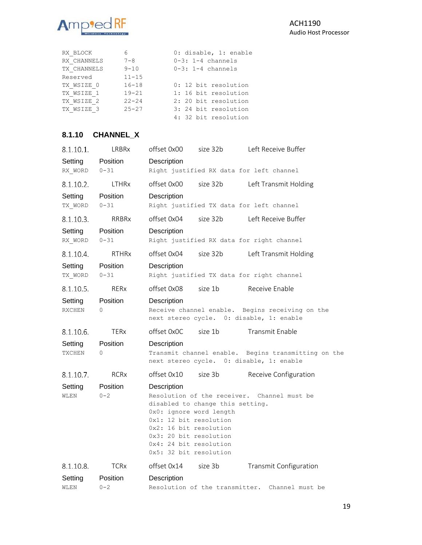

| RX BLOCK    | 6         | 0: disable, 1: enable |
|-------------|-----------|-----------------------|
| RX CHANNELS | $7 - 8$   | $0-3: 1-4$ channels   |
| TX CHANNELS | $9 - 10$  | $0-3: 1-4$ channels   |
| Reserved    | $11 - 15$ |                       |
| TX WSIZE 0  | $16 - 18$ | 0: 12 bit resolution  |
| TX WSIZE 1  | $19 - 21$ | 1: 16 bit resolution  |
| TX WSIZE 2  | $22 - 24$ | 2: 20 bit resolution  |
| TX WSIZE 3  | $25 - 27$ | 3: 24 bit resolution  |
|             |           | 4: 32 bit resolution  |

# **8.1.10 CHANNEL\_X**

| 8.1.10.1.                | LRBRx                       | offset 0x00                                                                                                                                                              | size 32b                         | Left Receive Buffer                                                    |
|--------------------------|-----------------------------|--------------------------------------------------------------------------------------------------------------------------------------------------------------------------|----------------------------------|------------------------------------------------------------------------|
| Setting<br>RX WORD       | Position<br>$0 - 31$        | Description                                                                                                                                                              |                                  | Right justified RX data for left channel                               |
| 8.1.10.2.                | <b>LTHR<sub>x</sub></b>     | offset 0x00                                                                                                                                                              | size 32b                         | Left Transmit Holding                                                  |
| Setting<br>TX_WORD       | Position<br>$0 - 31$        | Description                                                                                                                                                              |                                  | Right justified TX data for left channel                               |
| 8.1.10.3.                | RRBRx                       | offset 0x04                                                                                                                                                              | size 32b                         | Left Receive Buffer                                                    |
| Setting<br>RX WORD       | Position<br>$0 - 31$        | Description                                                                                                                                                              |                                  | Right justified RX data for right channel                              |
| 8.1.10.4.                | <b>RTHRx</b>                | offset 0x04                                                                                                                                                              | size 32b                         | Left Transmit Holding                                                  |
| Setting<br>TX WORD       | Position<br>$0 - 31$        | Description                                                                                                                                                              |                                  | Right justified TX data for right channel                              |
| 8.1.10.5.                | <b>RERx</b>                 | offset 0x08                                                                                                                                                              | size 1b                          | Receive Enable                                                         |
| Setting<br><b>RXCHEN</b> | <b>Position</b><br>$\Omega$ | Description<br>Receive channel enable.                                                                                                                                   |                                  | Begins receiving on the<br>next stereo cycle. 0: disable, 1: enable    |
| 8.1.10.6.                | <b>TERx</b>                 | offset 0x0C                                                                                                                                                              | size 1b                          | Transmit Enable                                                        |
| Setting<br>TXCHEN        | Position<br>$\Omega$        | Description<br>Transmit channel enable.                                                                                                                                  |                                  | Begins transmitting on the<br>next stereo cycle. 0: disable, 1: enable |
| 8.1.10.7                 | <b>RCR<sub>x</sub></b>      | offset 0x10                                                                                                                                                              | size 3b                          | Receive Configuration                                                  |
| Setting<br>WLEN          | Position<br>$0 - 2$         | Description<br>0x0: ignore word length<br>0x1: 12 bit resolution<br>0x2: 16 bit resolution<br>0x3: 20 bit resolution<br>0x4: 24 bit resolution<br>0x5: 32 bit resolution | disabled to change this setting. | Resolution of the receiver. Channel must be                            |
| 8.1.10.8.                | <b>TCRx</b>                 | offset 0x14                                                                                                                                                              | size 3b                          | <b>Transmit Configuration</b>                                          |
| Setting<br>WLEN          | Position<br>$0 - 2$         | Description                                                                                                                                                              |                                  | Resolution of the transmitter. Channel must be                         |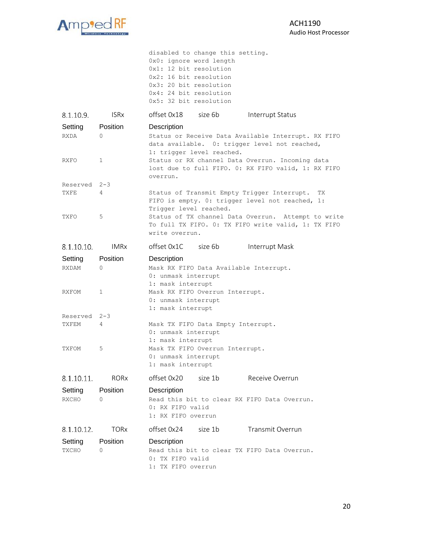

|                           |                    | disabled to change this setting.<br>0x0: ignore word length<br>0x1: 12 bit resolution<br>0x2: 16 bit resolution<br>0x3: 20 bit resolution<br>0x4: 24 bit resolution<br>0x5: 32 bit resolution |
|---------------------------|--------------------|-----------------------------------------------------------------------------------------------------------------------------------------------------------------------------------------------|
| 8.1.10.9.                 | <b>ISRx</b>        | offset 0x18 size 6b<br>Interrupt Status                                                                                                                                                       |
| Setting<br><b>RXDA</b>    | Position<br>0      | Description<br>Status or Receive Data Available Interrupt. RX FIFO<br>data available. 0: trigger level not reached,<br>1: trigger level reached.                                              |
| RXFO                      | $\mathbf 1$        | Status or RX channel Data Overrun. Incoming data<br>lost due to full FIFO. 0: RX FIFO valid, 1: RX FIFO<br>overrun.                                                                           |
| Reserved 2-3              |                    |                                                                                                                                                                                               |
| TXFE                      | 4                  | Status of Transmit Empty Trigger Interrupt.<br>TX.<br>FIFO is empty. 0: trigger level not reached, 1:<br>Trigger level reached.                                                               |
| TXFO                      | 5                  | Status of TX channel Data Overrun. Attempt to write<br>To full TX FIFO. 0: TX FIFO write valid, 1: TX FIFO<br>write overrun.                                                                  |
| 8.1.10.10.                | <b>IMRx</b>        | offset 0x1C size 6b<br>Interrupt Mask                                                                                                                                                         |
| Setting<br>RXDAM<br>RXFOM | Position<br>0<br>1 | Description<br>Mask RX FIFO Data Available Interrupt.<br>0: unmask interrupt<br>1: mask interrupt<br>Mask RX FIFO Overrun Interrupt.                                                          |
|                           |                    | 0: unmask interrupt<br>1: mask interrupt                                                                                                                                                      |
| Reserved 2-3<br>TXFEM     | 4                  | Mask TX FIFO Data Empty Interrupt.<br>0: unmask interrupt<br>1: mask interrupt                                                                                                                |
| TXFOM                     | 5                  | Mask TX FIFO Overrun Interrupt.<br>0: unmask interrupt<br>1: mask interrupt                                                                                                                   |
| 8.1.10.11.                | RORx               | offset 0x20<br>size 1b<br>Receive Overrun                                                                                                                                                     |
| Setting<br>RXCHO          | Position<br>0      | Description<br>Read this bit to clear RX FIFO Data Overrun.<br>0: RX FIFO valid<br>1: RX FIFO overrun                                                                                         |
| 8.1.10.12.                | <b>TORx</b>        | offset 0x24<br>size 1b<br>Transmit Overrun                                                                                                                                                    |
| Setting<br>TXCHO          | Position<br>0      | Description<br>Read this bit to clear TX FIFO Data Overrun.<br>0: TX FIFO valid<br>1: TX FIFO overrun                                                                                         |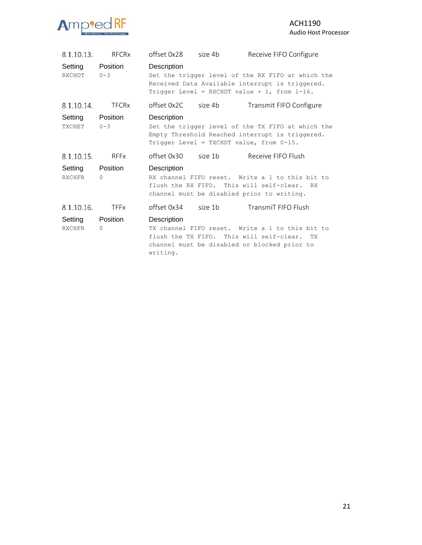

| 8.1.10.13.        | <b>RFCR<sub>x</sub></b>  | offset 0x28             | size 4b | Receive FIFO Configure                                                                                                                                  |
|-------------------|--------------------------|-------------------------|---------|---------------------------------------------------------------------------------------------------------------------------------------------------------|
| Setting<br>RXCHDT | Position<br>$0 - 3$      | Description             |         | Set the trigger level of the RX FIFO at which the<br>Received Data Available interrupt is triggered.<br>Trigger Level = RXCHDT value + 1, from $1-16$ . |
| 8.1.10.14.        | <b>TFCRx</b>             | offset 0x2C size 4b     |         | Transmit FIFO Configure                                                                                                                                 |
| Setting<br>TXCHET | Position<br>$0 - 3$      | Description             |         | Set the trigger level of the TX FIFO at which the<br>Empty Threshold Reached interrupt is triggered.<br>Trigger Level = TXCHDT value, from $0-15$ .     |
| 8.1.10.15.        | <b>RFFx</b>              | offset 0x30 size 1b     |         | Receive FIFO Flush                                                                                                                                      |
| Setting<br>RXCHFR | Position<br>$\Omega$     | Description             |         | RX channel FIFO reset. Write a 1 to this bit to<br>flush the RX FIFO. This will self-clear. RX<br>channel must be disabled prior to writing.            |
| 8.1.10.16.        | <b>TFFx</b>              |                         |         | offset 0x34 size 1b TransmiT FIFO Flush                                                                                                                 |
| Setting<br>RXCHFR | Position<br>$\mathbf{0}$ | Description<br>writing. |         | TX channel FIFO reset. Write a 1 to this bit to<br>flush the TX FIFO. This will self-clear. TX<br>channel must be disabled or blocked prior to          |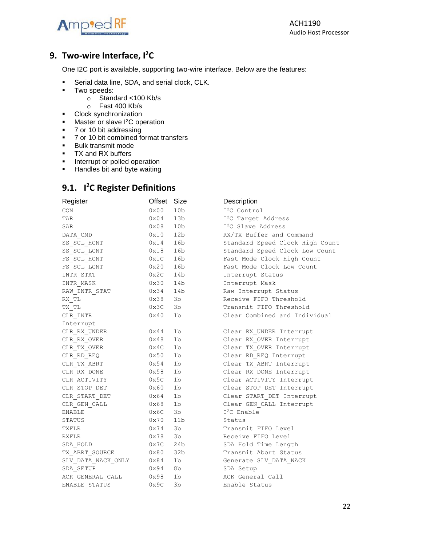

ACH1190 Audio Host Processor

# <span id="page-21-0"></span>**9. Two-wire Interface, I<sup>2</sup>C**

One I2C port is available, supporting two-wire interface. Below are the features:

- **EXECTE:** Serial data line, SDA, and serial clock, CLK.
- Two speeds:
	- o Standard <100 Kb/s
	- o Fast 400 Kb/s
- Clock synchronization
- Master or slave I<sup>2</sup>C operation
- 7 or 10 bit addressing
- 7 or 10 bit combined format transfers
- Bulk transmit mode
- TX and RX buffers
- **·** Interrupt or polled operation
- <span id="page-21-1"></span>■ Handles bit and byte waiting

# **9.1. I <sup>2</sup>C Register Definitions**

|              |                 | Description                     |
|--------------|-----------------|---------------------------------|
| $0\times00$  | 10 <sub>b</sub> | I <sup>2</sup> C Control        |
| $0\times04$  | 13b             | I <sup>2</sup> C Target Address |
| $0\times08$  | 10 <sub>b</sub> | I <sup>2</sup> C Slave Address  |
| 0x10         | 12b             | RX/TX Buffer and Command        |
| 0x14         | 16b             | Standard Speed Clock High Count |
| 0x18         | 16b             | Standard Speed Clock Low Count  |
| 0x1C         | 16b             | Fast Mode Clock High Count      |
| 0x20         | 16b             | Fast Mode Clock Low Count       |
| 0x2C         | 14b             | Interrupt Status                |
| 0x30         | 14b             | Interrupt Mask                  |
| 0x34         | 14b             | Raw Interrupt Status            |
| 0x38         | 3b              | Receive FIFO Threshold          |
| 0x3C         | 3b              | Transmit FIFO Threshold         |
| 0x40         | 1b              | Clear Combined and Individual   |
|              |                 |                                 |
| 0x44         | 1b              | Clear RX UNDER Interrupt        |
| 0x48         | 1b              | Clear RX OVER Interrupt         |
| 0x4C         | 1 <sub>b</sub>  | Clear TX OVER Interrupt         |
| 0x50         | 1 <sub>b</sub>  | Clear RD REQ Interrupt          |
| 0x54         | 1 <sub>b</sub>  | Clear TX ABRT Interrupt         |
| 0x58         | 1 <sub>b</sub>  | Clear RX DONE Interrupt         |
| 0x5C         | 1 <sub>b</sub>  | Clear ACTIVITY Interrupt        |
| $0\times 60$ | 1 <sub>b</sub>  | Clear STOP DET Interrupt        |
| 0x64         | 1b              | Clear START DET Interrupt       |
| 0x68         | 1 <sub>b</sub>  | Clear GEN CALL Interrupt        |
| 0x6C         | 3b              | $I2C$ Enable                    |
| 0x70         | 11b             | Status                          |
| 0x74         | 3b              | Transmit FIFO Level             |
| 0x78         | 3b              | Receive FIFO Level              |
| 0x7C         | 24b             | SDA Hold Time Length            |
| 0x80         | 32 <sub>b</sub> | Transmit Abort Status           |
| $0\times84$  | 1 <sub>b</sub>  | Generate SLV DATA NACK          |
| 0x94         | 8b              | SDA Setup                       |
| 0x98         | 1 <sub>b</sub>  | ACK General Call                |
| 0x9C         | 3b              | Enable Status                   |
|              |                 | Offset Size                     |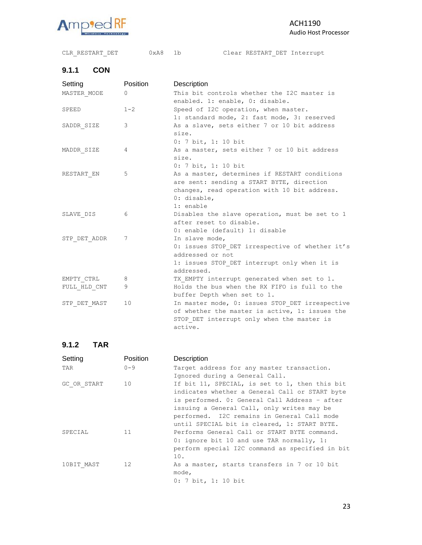

#### ACH1190 Audio Host Processor

# CLR\_RESTART\_DET 0xA8 1b Clear RESTART\_DET Interrupt

# **9.1.1 CON**

| Setting      | Position | Description                                     |
|--------------|----------|-------------------------------------------------|
| MASTER MODE  | $\Omega$ | This bit controls whether the I2C master is     |
|              |          | enabled. 1: enable, 0: disable.                 |
| SPEED        | $1 - 2$  | Speed of I2C operation, when master.            |
|              |          | 1: standard mode, 2: fast mode, 3: reserved     |
| SADDR SIZE   | 3        | As a slave, sets either 7 or 10 bit address     |
|              |          | size.                                           |
|              |          | $0: 7$ bit, 1: 10 bit                           |
| MADDR SIZE   | 4        | As a master, sets either 7 or 10 bit address    |
|              |          | size.                                           |
|              |          | 0: 7 bit, 1: 10 bit                             |
| RESTART EN   | 5        | As a master, determines if RESTART conditions   |
|              |          | are sent: sending a START BYTE, direction       |
|              |          | changes, read operation with 10 bit address.    |
|              |          | 0: disable,                                     |
|              |          | 1: enable                                       |
| SLAVE DIS    | 6        | Disables the slave operation, must be set to 1  |
|              |          | after reset to disable.                         |
|              |          | 0: enable (default) 1: disable                  |
| STP DET ADDR | 7        | In slave mode,                                  |
|              |          | 0: issues STOP DET irrespective of whether it's |
|              |          | addressed or not                                |
|              |          | 1: issues STOP DET interrupt only when it is    |
|              |          | addressed.                                      |
| EMPTY CTRL   | 8        | TX EMPTY interrupt generated when set to 1.     |
| FULL HLD CNT | 9        | Holds the bus when the RX FIFO is full to the   |
|              |          | buffer Depth when set to 1.                     |
| STP DET MAST | 10       | In master mode, 0: issues STOP DET irrespective |
|              |          | of whether the master is active, 1: issues the  |
|              |          | STOP DET interrupt only when the master is      |
|              |          | active.                                         |

#### **9.1.2 TAR**

| Setting     | Position | Description                                     |
|-------------|----------|-------------------------------------------------|
| TAR         | $0 - 9$  | Target address for any master transaction.      |
|             |          | Ignored during a General Call.                  |
| GC OR START | 10       | If bit 11, SPECIAL, is set to 1, then this bit  |
|             |          | indicates whether a General Call or START byte  |
|             |          | is performed. 0: General Call Address - after   |
|             |          | issuing a General Call, only writes may be      |
|             |          | performed. I2C remains in General Call mode     |
|             |          | until SPECIAL bit is cleared, 1: START BYTE.    |
| SPECIAL     | 11       | Performs General Call or START BYTE command.    |
|             |          | 0: ignore bit 10 and use TAR normally, 1:       |
|             |          | perform special I2C command as specified in bit |
|             |          | 10.                                             |
| 10BIT MAST  | 12       | As a master, starts transfers in 7 or 10 bit    |
|             |          | mode,                                           |
|             |          | $0: 7$ bit, 1: 10 bit                           |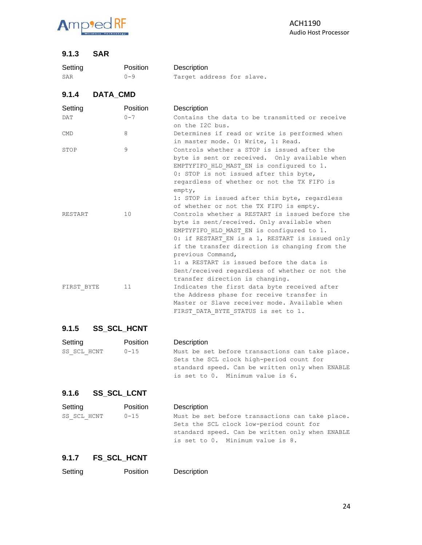

#### **9.1.3 SAR**

| Setting        | Position | Description               |
|----------------|----------|---------------------------|
| SAR            | $0 - 9$  | Target address for slave. |
| 9.1.4          | DATA CMD |                           |
| <b>Setting</b> | Position | Description               |

| ------     |         |                                                 |
|------------|---------|-------------------------------------------------|
| <b>DAT</b> | $0 - 7$ | Contains the data to be transmitted or receive  |
|            |         | on the I2C bus.                                 |
| <b>CMD</b> | 8       | Determines if read or write is performed when   |
|            |         | in master mode. 0: Write, 1: Read.              |
| STOP       | 9       | Controls whether a STOP is issued after the     |
|            |         | byte is sent or received. Only available when   |
|            |         | EMPTYFIFO HLD MAST EN is configured to 1.       |
|            |         | 0: STOP is not issued after this byte,          |
|            |         | regardless of whether or not the TX FIFO is     |
|            |         | empty,                                          |
|            |         | 1: STOP is issued after this byte, regardless   |
|            |         | of whether or not the TX FIFO is empty.         |
| RESTART    | 10      | Controls whether a RESTART is issued before the |
|            |         | byte is sent/received. Only available when      |
|            |         | EMPTYFIFO HLD MAST EN is configured to 1.       |
|            |         | 0: if RESTART EN is a 1, RESTART is issued only |
|            |         | if the transfer direction is changing from the  |
|            |         | previous Command,                               |
|            |         | 1: a RESTART is issued before the data is       |
|            |         | Sent/received regardless of whether or not the  |
|            |         | transfer direction is changing.                 |
| FIRST BYTE | 11      | Indicates the first data byte received after    |
|            |         | the Address phase for receive transfer in       |
|            |         | Master or Slave receiver mode. Available when   |
|            |         | FIRST DATA BYTE STATUS is set to 1.             |

#### **9.1.5 SS\_SCL\_HCNT**

| Setting     | Position  | Description                                     |
|-------------|-----------|-------------------------------------------------|
| SS SCL HCNT | $0 - 1.5$ | Must be set before transactions can take place. |
|             |           | Sets the SCL clock high-period count for        |
|             |           | standard speed. Can be written only when ENABLE |
|             |           | is set to 0. Minimum value is 6.                |

# **9.1.6 SS\_SCL\_LCNT**

| Setting     | Position | Description                                     |
|-------------|----------|-------------------------------------------------|
| SS SCL HCNT | 0-15     | Must be set before transactions can take place. |
|             |          | Sets the SCL clock low-period count for         |
|             |          | standard speed. Can be written only when ENABLE |
|             |          | is set to 0. Minimum value is 8.                |

#### **9.1.7 FS\_SCL\_HCNT**

| Setting | Position | Description |
|---------|----------|-------------|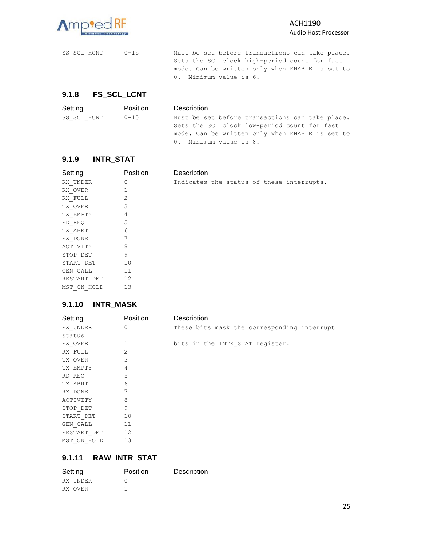

SS\_SCL\_HCNT 0-15 Must be set before transactions can take place. Sets the SCL clock high-period count for fast mode. Can be written only when ENABLE is set to 0. Minimum value is 6.

#### **9.1.8 FS\_SCL\_LCNT**

| Setting     | Position  | Description                                     |
|-------------|-----------|-------------------------------------------------|
| SS SCL HCNT | $0 - 1.5$ | Must be set before transactions can take place. |
|             |           | Sets the SCL clock low-period count for fast    |
|             |           | mode. Can be written only when ENABLE is set to |
|             |           | 0. Minimum value is 8.                          |

Indicates the status of these interrupts.

**Description** 

#### **9.1.9 INTR\_STAT**

| Setting     | Position       |
|-------------|----------------|
| RX UNDER    | Ω              |
| RX OVER     | 1              |
| RX FULL     | $\overline{2}$ |
| TX OVER     | 3              |
| TX EMPTY    | 4              |
| RD REO      | 5              |
| TX ABRT     | 6              |
| RX DONE     | 7              |
| ACTIVITY    | 8              |
| STOP DET    | 9              |
| START DET   | 10             |
| GEN CALL    | 11             |
| RESTART DET | 12             |
| MST ON HOLD | 13             |

#### **9.1.10 INTR\_MASK**

| Setting     | Position     | Description                                 |
|-------------|--------------|---------------------------------------------|
| RX UNDER    | $\mathbf{0}$ | These bits mask the corresponding interrupt |
| status      |              |                                             |
| RX OVER     | 1            | bits in the INTR STAT register.             |
| RX FULL     | 2            |                                             |
| TX OVER     | 3            |                                             |
| TX EMPTY    | 4            |                                             |
| RD REQ      | 5            |                                             |
| TX ABRT     | 6            |                                             |
| RX DONE     | 7            |                                             |
| ACTIVITY    | 8            |                                             |
| STOP DET    | 9            |                                             |
| START DET   | 10           |                                             |
| GEN CALL    | 11           |                                             |
| RESTART DET | 12           |                                             |
| MST ON HOLD | 13           |                                             |

#### **9.1.11 RAW\_INTR\_STAT**

| Setting  | Position | Description |
|----------|----------|-------------|
| RX UNDER |          |             |
| RX OVER  |          |             |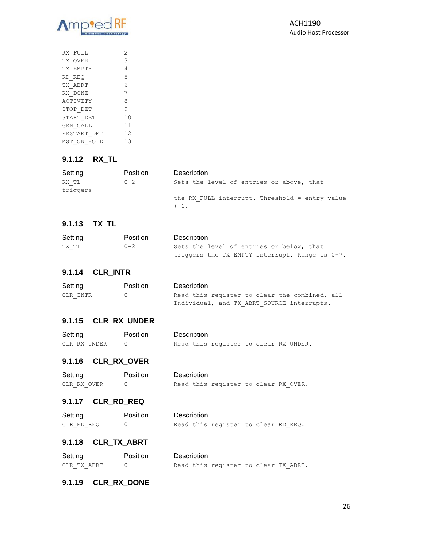

| RX FULL         | 2  |
|-----------------|----|
| TX OVER         | 3  |
| TX EMPTY        | 4  |
| RD REO          | 5  |
| TX ABRT         | 6  |
| RX DONE         | 7  |
| <b>ACTIVITY</b> | 8  |
| STOP DET        | 9  |
| START DET       | 10 |
| GEN CALL        | 11 |
| RESTART DET     | 12 |
| MST ON HOLD     | 13 |
|                 |    |

# **9.1.12 RX\_TL**

| Setting           | <b>Position</b> | Description                                              |
|-------------------|-----------------|----------------------------------------------------------|
| RX TL<br>triggers | $0 - 2$         | Sets the level of entries or above, that                 |
|                   |                 | the RX FULL interrupt. Threshold = entry value<br>$+1$ . |

#### **9.1.13 TX\_TL**

| Setting | Position | Description                                       |
|---------|----------|---------------------------------------------------|
| TX TL   | $0 - 2$  | Sets the level of entries or below, that          |
|         |          | triggers the TX EMPTY interrupt. Range is $0-7$ . |

#### **9.1.14 CLR\_INTR**

| Setting  | Position | Description                                   |
|----------|----------|-----------------------------------------------|
| CLR INTR | $\cap$   | Read this register to clear the combined, all |
|          |          | Individual, and TX ABRT SOURCE interrupts.    |

#### **9.1.15 CLR\_RX\_UNDER**

| Setting      | Position | Description                           |
|--------------|----------|---------------------------------------|
| CLR RX UNDER |          | Read this register to clear RX UNDER. |

# **9.1.16 CLR\_RX\_OVER**

| Setting     | Position |
|-------------|----------|
| CLR RX OVER | $\cap$   |

Description Read this register to clear RX\_OVER.

#### **9.1.17 CLR\_RD\_REQ**

| Setting    | Position | Description                         |
|------------|----------|-------------------------------------|
| CLR RD REO |          | Read this register to clear RD REQ. |

#### **9.1.18 CLR\_TX\_ABRT**

| Setting     | Position | Description                          |
|-------------|----------|--------------------------------------|
| CLR TX ABRT |          | Read this register to clear TX ABRT. |

#### **9.1.19 CLR\_RX\_DONE**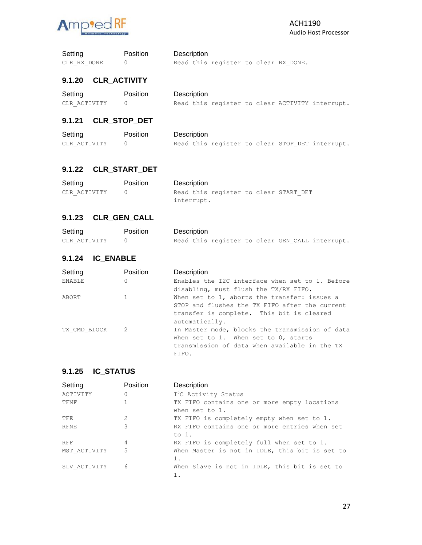

| Setting     | Position | Description                          |
|-------------|----------|--------------------------------------|
| CLR RX DONE |          | Read this register to clear RX DONE. |

#### **9.1.20 CLR\_ACTIVITY**

| Setting      | <b>Position</b> | Description                                     |
|--------------|-----------------|-------------------------------------------------|
| CLR ACTIVITY |                 | Read this register to clear ACTIVITY interrupt. |

# **9.1.21 CLR\_STOP\_DET**

| Setting      | <b>Position</b> | Description                                     |
|--------------|-----------------|-------------------------------------------------|
| CLR ACTIVITY |                 | Read this register to clear STOP DET interrupt. |

#### **9.1.22 CLR\_START\_DET**

| Setting      | Position | Description                           |
|--------------|----------|---------------------------------------|
| CLR ACTIVITY |          | Read this register to clear START DET |
|              |          | interrupt.                            |

#### **9.1.23 CLR\_GEN\_CALL**

| Setting      | <b>Position</b> | Description                                     |
|--------------|-----------------|-------------------------------------------------|
| CLR ACTIVITY |                 | Read this register to clear GEN CALL interrupt. |

#### **9.1.24 IC\_ENABLE**

| Setting       | Position | Description                                     |
|---------------|----------|-------------------------------------------------|
| <b>ENABLE</b> | 0        | Enables the I2C interface when set to 1. Before |
|               |          | disabling, must flush the TX/RX FIFO.           |
| ABORT         |          | When set to 1, aborts the transfer: issues a    |
|               |          | STOP and flushes the TX FIFO after the current  |
|               |          | transfer is complete. This bit is cleared       |
|               |          | automatically.                                  |
| TX CMD BLOCK  | 2        | In Master mode, blocks the transmission of data |
|               |          | when set to 1. When set to 0, starts            |
|               |          | transmission of data when available in the TX   |
|               |          | FIFO.                                           |

#### **9.1.25 IC\_STATUS**

| Setting      | Position | Description                                                    |
|--------------|----------|----------------------------------------------------------------|
| ACTIVITY     | 0        | I <sup>2</sup> C Activity Status                               |
| TFNF         |          | TX FIFO contains one or more empty locations<br>when set to 1. |
| <b>TFE</b>   | 2        | TX FIFO is completely empty when set to 1.                     |
| <b>RFNE</b>  | 3        | RX FIFO contains one or more entries when set<br>to 1.         |
| <b>RFF</b>   | 4        | RX FIFO is completely full when set to 1.                      |
| MST ACTIVITY | 5        | When Master is not in IDLE, this bit is set to<br>1.           |
| SLV ACTIVITY | 6        | When Slave is not in IDLE, this bit is set to                  |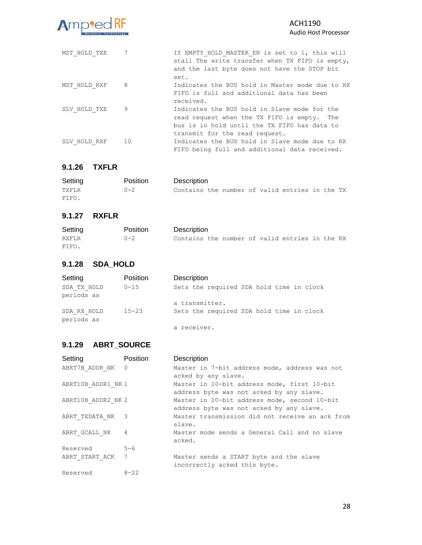

| MST HOLD TXE | $\overline{7}$ | If EMPTY HOLD MASTER EN is set to 1, this will<br>stall The write transfer when TX FIFO is empty,<br>and the last byte does not have the STOP bit<br>set.                     |
|--------------|----------------|-------------------------------------------------------------------------------------------------------------------------------------------------------------------------------|
| MST HOLD RXF | 8              | Indicates the BUS hold in Master mode due to RX<br>FIFO is full and additional data has been<br>received.                                                                     |
| SLV HOLD TXE | 9              | Indicates the BUS hold in Slave mode for the<br>read request when the TX FIFO is empty. The<br>bus is in hold until the TX FIFO has data to<br>transmit for the read request. |
| SLV HOLD RXF | 10             | Indicates the BUS hold in Slave mode due to RX<br>FIFO being full and additional data received.                                                                               |

#### **9.1.26 TXFLR**

| Setting | Position | Description                                    |
|---------|----------|------------------------------------------------|
| TXFLR   | $0 - 2$  | Contains the number of valid entries in the TX |
| FIFO.   |          |                                                |

#### **9.1.27 RXFLR**

| Setting | Position | Description                                    |
|---------|----------|------------------------------------------------|
| RXFLR   | $0 - 2$  | Contains the number of valid entries in the RX |
| FIFO.   |          |                                                |

#### **9.1.28 SDA\_HOLD**

| Setting                   | Position  | Description                              |
|---------------------------|-----------|------------------------------------------|
| SDA TX HOLD<br>periods as | $0 - 15$  | Sets the required SDA hold time in clock |
|                           |           | a transmitter.                           |
| SDA RX HOLD<br>periods as | $15 - 23$ | Sets the required SDA hold time in clock |
|                           |           | a receiver.                              |

#### **9.1.29 ABRT\_SOURCE**

| Setting            | Position | Description                                     |
|--------------------|----------|-------------------------------------------------|
| ABRT7B ADDR NK 0   |          | Master in 7-bit address mode, address was not   |
|                    |          | acked by any slave.                             |
| ABRT10B ADDR1 NK 1 |          | Master in 10-bit address mode, first 10-bit     |
|                    |          | address byte was not acked by any slave.        |
| ABRT10B ADDR2 NK 2 |          | Master in 10-bit address mode, second 10-bit    |
|                    |          | address byte was not acked by any slave.        |
| ABRT TXDATA NK 3   |          | Master transmission did not receive an ack from |
|                    |          | slave.                                          |
| ABRT GCALL NK      | 4        | Master mode sends a General Call and no slave   |
|                    |          | acked.                                          |
| Reserved           | $5 - 6$  |                                                 |
| ABRT START ACK 7   |          | Master sends a START byte and the slave         |
|                    |          | incorrectly acked this byte.                    |
| Reserved           | $8 - 22$ |                                                 |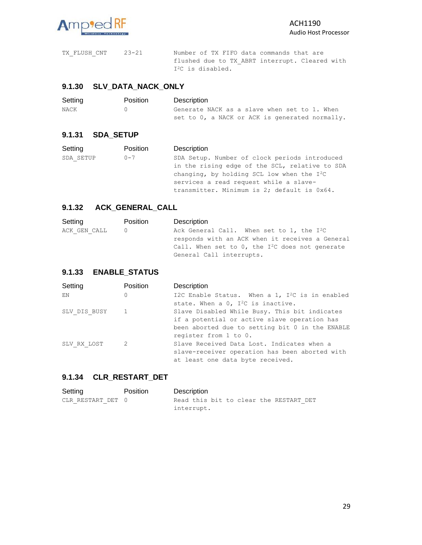

TX\_FLUSH\_CNT 23-21 Number of TX FIFO data commands that are flushed due to TX\_ABRT interrupt. Cleared with I<sup>2</sup>C is disabled.

#### **9.1.30 SLV\_DATA\_NACK\_ONLY**

| Setting | <b>Position</b> | Description                                    |
|---------|-----------------|------------------------------------------------|
| NACK    |                 | Generate NACK as a slave when set to 1. When   |
|         |                 | set to 0, a NACK or ACK is generated normally. |

#### **9.1.31 SDA\_SETUP**

| Setting   | Position                                       | Description                                   |
|-----------|------------------------------------------------|-----------------------------------------------|
| SDA SETUP | $0 - 7$                                        | SDA Setup. Number of clock periods introduced |
|           | in the rising edge of the SCL, relative to SDA |                                               |
|           | changing, by holding SCL low when the $I^2C$   |                                               |
|           | services a read request while a slave-         |                                               |
|           |                                                | transmitter. Minimum is 2; default is 0x64.   |

#### **9.1.32 ACK\_GENERAL\_CALL**

| Setting      | Position | Description                                                                                                                                                                     |
|--------------|----------|---------------------------------------------------------------------------------------------------------------------------------------------------------------------------------|
| ACK GEN CALL |          | Ack General Call. When set to 1, the $I^2C$<br>responds with an ACK when it receives a General<br>Call. When set to 0, the $I^2C$ does not generate<br>General Call interrupts. |
|              |          |                                                                                                                                                                                 |

#### **9.1.33 ENABLE\_STATUS**

| Setting        | Position | Description                                       |
|----------------|----------|---------------------------------------------------|
| ΕN             | 0        | I2C Enable Status. When a 1, $I^2C$ is in enabled |
|                |          | state. When a $0$ , $I^2C$ is inactive.           |
| SLV DIS BUSY 1 |          | Slave Disabled While Busy. This bit indicates     |
|                |          | if a potential or active slave operation has      |
|                |          | been aborted due to setting bit 0 in the ENABLE   |
|                |          | register from 1 to 0.                             |
| SLV RX LOST    | 2        | Slave Received Data Lost. Indicates when a        |
|                |          | slave-receiver operation has been aborted with    |
|                |          | at least one data byte received.                  |

#### **9.1.34 CLR\_RESTART\_DET**

| Setting           | Position | Description                            |  |
|-------------------|----------|----------------------------------------|--|
| CLR RESTART DET 0 |          | Read this bit to clear the RESTART DET |  |
|                   |          | interrupt.                             |  |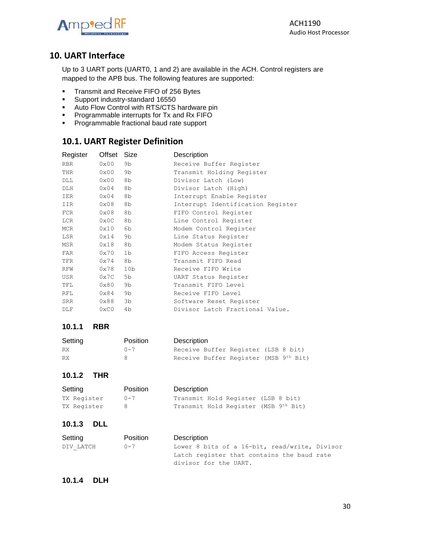

# <span id="page-29-0"></span>**10. UART Interface**

Up to 3 UART ports (UART0, 1 and 2) are available in the ACH. Control registers are mapped to the APB bus. The following features are supported:

- **■** Transmit and Receive FIFO of 256 Bytes
- Support industry-standard 16550
- Auto Flow Control with RTS/CTS hardware pin
- **•** Programmable interrupts for Tx and Rx FIFO
- **•** Programmable fractional baud rate support

# <span id="page-29-1"></span>**10.1. UART Register Definition**

| Register   | Offset        | Size            | Description                       |
|------------|---------------|-----------------|-----------------------------------|
| <b>RBR</b> | 0x00          | 9b              | Receive Buffer Register           |
| THR        | 0x00          | 9b              | Transmit Holding Register         |
| DLL        | 0x00          | 8b              | Divisor Latch (Low)               |
| DLH        | $0\times04$   | 8b              | Divisor Latch (High)              |
| IER        | $0\times04$   | 8b              | Interrupt Enable Register         |
| IIR        | 0x08          | 8b              | Interrupt Identification Register |
| FCR        | 0x08          | 8b              | FIFO Control Register             |
| LCR        | $0\times 0C$  | 8b              | Line Control Register             |
| MCR        | 0x10          | 6b              | Modem Control Register            |
| LSR        | 0x14          | 9b              | Line Status Register              |
| MSR        | 0x18          | 8b              | Modem Status Register             |
| FAR        | 0x70          | 1b              | FIFO Access Register              |
| TFR        | 0x74          | 8b              | Transmit FIFO Read                |
| RFW        | 0x78          | 10 <sub>b</sub> | Receive FIFO Write                |
| USR        | 0x7C          | 5b              | UART Status Register              |
| TFL        | 0x80          | 9b              | Transmit FIFO Level               |
| RFL        | 0x84          | 9b              | Receive FIFO Level                |
| SRR        | 0x88          | 3b              | Software Reset Register           |
| DLF        | $0 \times C0$ | 4b              | Divisor Latch Fractional Value.   |
|            |               |                 |                                   |

#### **10.1.1 RBR**

| Setting | Position | Description |                                       |  |  |
|---------|----------|-------------|---------------------------------------|--|--|
| RX      | $0 - 7$  |             | Receive Buffer Register (LSB 8 bit)   |  |  |
| RX      |          |             | Receive Buffer Register (MSB 9th Bit) |  |  |

#### **10.1.2 THR**

| Setting     | Position | Description                          |
|-------------|----------|--------------------------------------|
| TX Register | $0 - 7$  | Transmit Hold Register (LSB 8 bit)   |
| TX Register |          | Transmit Hold Register (MSB 9th Bit) |

#### **10.1.3 DLL**

| Setting   | <b>Position</b> | Description                                   |
|-----------|-----------------|-----------------------------------------------|
| DIV LATCH | $0 - 7$         | Lower 8 bits of a 16-bit, read/write, Divisor |
|           |                 | Latch register that contains the baud rate    |
|           |                 | divisor for the UART.                         |

#### **10.1.4 DLH**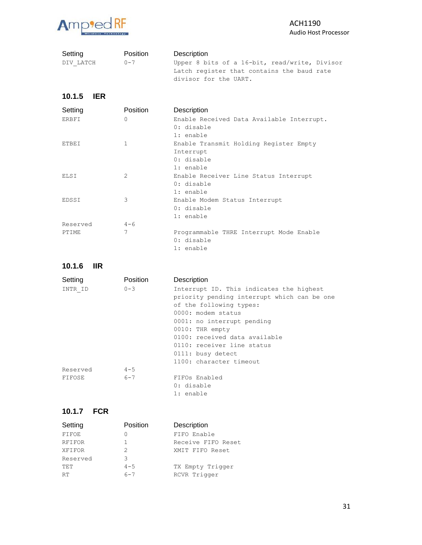

| Setting<br>DIV LATCH | Position<br>$0 - 7$ | Description<br>Upper 8 bits of a 16-bit, read/write, Divisor<br>Latch register that contains the baud rate<br>divisor for the UART. |
|----------------------|---------------------|-------------------------------------------------------------------------------------------------------------------------------------|
| 10.1.5<br><b>IER</b> |                     |                                                                                                                                     |
| Setting              | Position            | Description                                                                                                                         |
| <b>ERBFI</b>         | $\Omega$            | Enable Received Data Available Interrupt.<br>0: disable<br>$1:$ enable                                                              |
| <b>ETBEI</b>         | $\mathbf{1}$        | Enable Transmit Holding Register Empty<br>Interrupt<br>0: disable<br>$1:$ enable                                                    |
| ELSI                 | $\mathfrak{D}$      | Enable Receiver Line Status Interrupt<br>0: disable<br>$1:$ enable                                                                  |
| EDSSI                | 3                   | Enable Modem Status Interrupt<br>0: disable<br>1: enable                                                                            |
| Reserved             | $4 - 6$             |                                                                                                                                     |
| PTIME                | 7                   | Programmable THRE Interrupt Mode Enable<br>0: disable                                                                               |

1: enable

**10.1.6 IIR**

| Setting  | Position | Description                                 |
|----------|----------|---------------------------------------------|
| INTR ID  | $0 - 3$  | Interrupt ID. This indicates the highest    |
|          |          | priority pending interrupt which can be one |
|          |          | of the following types:                     |
|          |          | 0000: modem status                          |
|          |          | 0001: no interrupt pending                  |
|          |          | 0010: THR empty                             |
|          |          | 0100: received data available               |
|          |          | 0110: receiver line status                  |
|          |          | 0111: busy detect                           |
|          |          | 1100: character timeout                     |
| Reserved | $4 - 5$  |                                             |
| FIFOSE   | $6 - 7$  | FIFOs Enabled                               |
|          |          | 0: disable                                  |
|          |          | 1: enable                                   |

#### **10.1.7 FCR**

| Setting       | Position | Description        |
|---------------|----------|--------------------|
| FIFOE         | Ω        | FIFO Enable        |
| <b>RFIFOR</b> | 1        | Receive FIFO Reset |
| XFIFOR        | 2        | XMIT FIFO Reset    |
| Reserved      | 3        |                    |
| TET           | $4 - 5$  | TX Empty Trigger   |
| <b>RT</b>     | $6 - 7$  | RCVR Trigger       |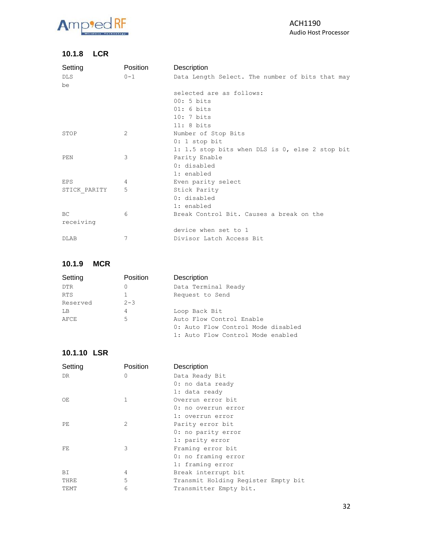

#### **10.1.8 LCR**

| Setting      | Position | Description                                     |
|--------------|----------|-------------------------------------------------|
| <b>DLS</b>   | $0 - 1$  | Data Length Select. The number of bits that may |
| be           |          |                                                 |
|              |          | selected are as follows:                        |
|              |          | $00:5 \text{ bits}$                             |
|              |          | $01:6 \text{ bits}$                             |
|              |          | $10:7 \text{ bits}$                             |
|              |          | $11:8 \text{ bits}$                             |
| STOP         | 2        | Number of Stop Bits                             |
|              |          | $0: 1$ stop bit                                 |
|              |          | 1: 1.5 stop bits when DLS is 0, else 2 stop bit |
| PEN          | 3        | Parity Enable                                   |
|              |          | 0: disabled                                     |
|              |          | 1: enabled                                      |
| EPS          | 4        | Even parity select                              |
| STICK PARITY | 5        | Stick Parity                                    |
|              |          | 0: disabled                                     |
|              |          | 1: enabled                                      |
| <b>BC</b>    | 6        | Break Control Bit. Causes a break on the        |
| receiving    |          |                                                 |
|              |          | device when set to 1                            |
| <b>DLAB</b>  | 7        | Divisor Latch Access Bit                        |

#### **10.1.9 MCR**

| Setting    | Position | Description                        |
|------------|----------|------------------------------------|
| <b>DTR</b> | $\Omega$ | Data Terminal Ready                |
| <b>RTS</b> | 1        | Request to Send                    |
| Reserved   | $2 - 3$  |                                    |
| LB         | 4        | Loop Back Bit                      |
| AFCE       | 5        | Auto Flow Control Enable           |
|            |          | 0: Auto Flow Control Mode disabled |
|            |          | 1: Auto Flow Control Mode enabled  |

#### **10.1.10 LSR**

| Setting | Position | Description                         |
|---------|----------|-------------------------------------|
| DR.     | $\Omega$ | Data Ready Bit                      |
|         |          | 0: no data ready                    |
|         |          | 1: data ready                       |
| OE      | 1        | Overrun error bit                   |
|         |          | 0: no overrun error                 |
|         |          | 1: overrun error                    |
| PE.     | 2        | Parity error bit                    |
|         |          | 0: no parity error                  |
|         |          | 1: parity error                     |
| FE      | 3        | Framing error bit                   |
|         |          | 0: no framing error                 |
|         |          | 1: framing error                    |
| BI      | 4        | Break interrupt bit                 |
| THRE    | 5        | Transmit Holding Register Empty bit |
| TEMT    | 6        | Transmitter Empty bit.              |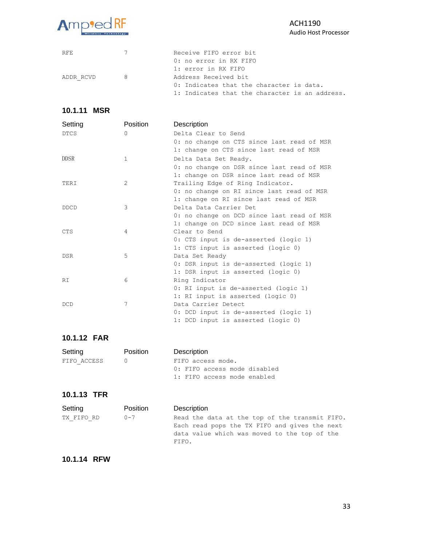

| RFF.      | $\overline{7}$ | Receive FIFO error bit                         |
|-----------|----------------|------------------------------------------------|
|           |                | 0: no error in RX FIFO                         |
|           |                | 1: error in RX FIFO                            |
| ADDR RCVD |                | Address Received bit                           |
|           |                | 0: Indicates that the character is data.       |
|           |                | 1: Indicates that the character is an address. |

#### **10.1.11 MSR**

| Setting     | Position | Description                                |
|-------------|----------|--------------------------------------------|
| <b>DTCS</b> | $\Omega$ | Delta Clear to Send                        |
|             |          | 0: no change on CTS since last read of MSR |
|             |          | 1: change on CTS since last read of MSR    |
| <b>DDSR</b> | 1        | Delta Data Set Ready.                      |
|             |          | 0: no change on DSR since last read of MSR |
|             |          | 1: change on DSR since last read of MSR    |
| TERI        | 2        | Trailing Edge of Ring Indicator.           |
|             |          | 0: no change on RI since last read of MSR  |
|             |          | 1: change on RI since last read of MSR     |
| <b>DDCD</b> | 3        | Delta Data Carrier Det                     |
|             |          | 0: no change on DCD since last read of MSR |
|             |          | 1: change on DCD since last read of MSR    |
| <b>CTS</b>  | 4        | Clear to Send                              |
|             |          | 0: CTS input is de-asserted (logic 1)      |
|             |          | 1: CTS input is asserted (logic 0)         |
| <b>DSR</b>  | 5        | Data Set Ready                             |
|             |          | 0: DSR input is de-asserted (logic 1)      |
|             |          | 1: DSR input is asserted (logic 0)         |
| RT.         | 6        | Ring Indicator                             |
|             |          | 0: RI input is de-asserted (logic 1)       |
|             |          | 1: RI input is asserted (logic 0)          |
| <b>DCD</b>  | 7        | Data Carrier Detect                        |
|             |          | 0: DCD input is de-asserted (logic 1)      |
|             |          | 1: DCD input is asserted (logic 0)         |

#### **10.1.12 FAR**

| Setting     | <b>Position</b> | Description                  |
|-------------|-----------------|------------------------------|
| FIFO ACCESS |                 | FIFO access mode.            |
|             |                 | 0: FIFO access mode disabled |
|             |                 | 1: FIFO access mode enabled  |

### **10.1.13 TFR**

| Setting    | <b>Position</b> | Description                                                                                     |
|------------|-----------------|-------------------------------------------------------------------------------------------------|
| TX FIFO RD | $0 - 7$         | Read the data at the top of the transmit FIFO.<br>Each read pops the TX FIFO and gives the next |
|            |                 | data value which was moved to the top of the<br>FIFO.                                           |

#### **10.1.14 RFW**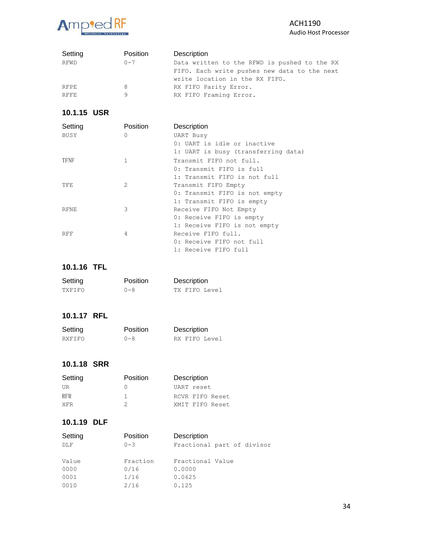#### Amp<sup>9</sup>ed RF alaxy

| Setting     | Position | Description                                  |
|-------------|----------|----------------------------------------------|
| RFWD        | $0 - 7$  | Data written to the RFWD is pushed to the RX |
|             |          | FIFO. Each write pushes new data to the next |
|             |          | write location in the RX FIFO.               |
| RFPE        |          | RX FIFO Parity Error.                        |
| <b>RFFE</b> |          | RX FIFO Framing Error.                       |

# **10.1.15 USR**

| Setting     | Position       | Description                         |
|-------------|----------------|-------------------------------------|
| BUSY        | $\Omega$       | <b>UART Busy</b>                    |
|             |                | 0: UART is idle or inactive         |
|             |                | 1: UART is busy (transferring data) |
| <b>TFNF</b> | $\mathbf{1}$   | Transmit FIFO not full.             |
|             |                | 0: Transmit FIFO is full            |
|             |                | 1: Transmit FIFO is not full        |
| TFE         | $\mathfrak{D}$ | Transmit FIFO Empty                 |
|             |                | 0: Transmit FIFO is not empty       |
|             |                | 1: Transmit FIFO is empty           |
| <b>RFNE</b> | 3              | Receive FIFO Not Empty              |
|             |                | 0: Receive FIFO is empty            |
|             |                | 1: Receive FIFO is not empty        |
| <b>RFF</b>  | 4              | Receive FIFO full.                  |
|             |                | 0: Receive FIFO not full            |
|             |                | 1: Receive FIFO full                |

# **10.1.16 TFL**

| Setting | Position | Description   |
|---------|----------|---------------|
| TXFIFO  | $0 - 8$  | TX FIFO Level |

# **10.1.17 RFL**

| Setting | Position | Description   |
|---------|----------|---------------|
| RXFIFO  | $0 - 8$  | RX FIFO Level |

#### **10.1.18 SRR**

| Setting    | Position | Description     |
|------------|----------|-----------------|
| UR         |          | UART reset      |
| <b>RFR</b> |          | RCVR FIFO Reset |
| <b>XFR</b> |          | XMIT FIFO Reset |

### **10.1.19 DLF**

| Position | Description                |
|----------|----------------------------|
| $0 - 3$  | Fractional part of divisor |
| Fraction | Fractional Value           |
| 0/16     | 0.0000                     |
| 1/16     | 0.0625                     |
| 2/16     | 0.125                      |
|          |                            |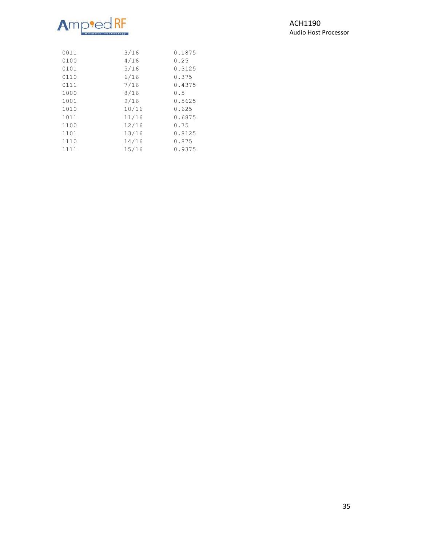# Amp<sup>i</sup>ed

ACH1190 Audio Host Processor

| 0011 | 3/16  | 0.1875 |
|------|-------|--------|
| 0100 | 4/16  | 0.25   |
| 0101 | 5/16  | 0.3125 |
| 0110 | 6/16  | 0.375  |
| 0111 | 7/16  | 0.4375 |
| 1000 | 8/16  | 0.5    |
| 1001 | 9/16  | 0.5625 |
| 1010 | 10/16 | 0.625  |
| 1011 | 11/16 | 0.6875 |
| 1100 | 12/16 | 0.75   |
| 1101 | 13/16 | 0.8125 |
| 1110 | 14/16 | 0.875  |
| 1111 | 15/16 | 0.9375 |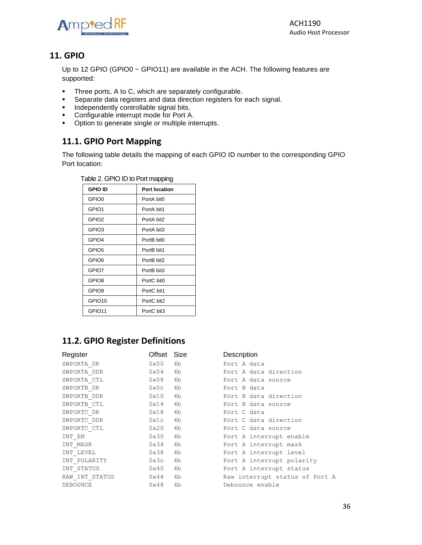

ACH1190 Audio Host Processor

# <span id="page-35-0"></span>**11. GPIO**

Up to 12 GPIO (GPIO0 ~ GPIO11) are available in the ACH. The following features are supported:

- Three ports, A to C, which are separately configurable.
- Separate data registers and data direction registers for each signal.
- **■** Independently controllable signal bits.
- Configurable interrupt mode for Port A.
- Option to generate single or multiple interrupts.

# <span id="page-35-1"></span>**11.1. GPIO Port Mapping**

The following table details the mapping of each GPIO ID number to the corresponding GPIO Port location:

| Table 2. GPIO ID to Port mapping |                      |  |  |
|----------------------------------|----------------------|--|--|
| <b>GPIO ID</b>                   | <b>Port location</b> |  |  |
| GPIO <sub>0</sub>                | PortA bit0           |  |  |
| GPIO1                            | PortA bit1           |  |  |
| GPIO <sub>2</sub>                | PortA bit2           |  |  |
| GPIO3                            | PortA bit3           |  |  |
| GPIO4                            | PortB bit0           |  |  |
| GPIO <sub>5</sub>                | PortB bit1           |  |  |
| GPIO <sub>6</sub>                | PortB bit2           |  |  |
| GPIO7                            | PortB bit3           |  |  |
| GPIO8                            | PortC bit0           |  |  |
| GPIO <sub>9</sub>                | PortC bit1           |  |  |
| GPIO <sub>10</sub>               | PortC bit2           |  |  |
| GPIO11                           | PortC bit3           |  |  |

# <span id="page-35-2"></span>**11.2. GPIO Register Definitions**

| Register       | Offset Size   |    | Description                    |
|----------------|---------------|----|--------------------------------|
| SWPORTA DR     | 0x00          | 4b | Port A data                    |
| SWPORTA DDR    | $0\times04$   | 4b | Port A data direction          |
| SWPORTA CTL    | 0x08          | 4b | Port A data source             |
| SWPORTB DR     | 0x0c          | 4b | Port B data                    |
| SWPORTB DDR    | 0x10          | 4b | Port B data direction          |
| SWPORTB CTL    | 0x14          | 4b | Port B data source             |
| SWPORTC DR     | 0x18          | 4b | Port C data                    |
| SWPORTC DDR    | 0x1c          | 4b | Port C data direction          |
| SWPORTC CTL    | 0x20          | 4b | Port C data source             |
| INT EN         | 0x30          | 4b | Port A interrupt enable        |
| INT MASK       | 0x34          | 4b | Port A interrupt mask          |
| INT LEVEL      | 0x38          | 4b | Port A interrupt level         |
| INT POLARITY   | 0x3c          | 4b | Port A interrupt polarity      |
| INT STATUS     | 0x40          | 4b | Port A interrupt status        |
| RAW INT STATUS | $0 \times 44$ | 4b | Raw interrupt status of Port A |
| DEBOUNCE       | 0x48          | 4b | Debounce enable                |

| Port A data                    |  |                           |  |  |  |  |
|--------------------------------|--|---------------------------|--|--|--|--|
|                                |  | Port A data direction     |  |  |  |  |
|                                |  | Port A data source        |  |  |  |  |
| Port B data                    |  |                           |  |  |  |  |
|                                |  | Port B data direction     |  |  |  |  |
|                                |  | Port B data source        |  |  |  |  |
| Port C data                    |  |                           |  |  |  |  |
|                                |  | Port C data direction     |  |  |  |  |
|                                |  | Port C data source        |  |  |  |  |
|                                |  | Port A interrupt enable   |  |  |  |  |
|                                |  | Port A interrupt mask     |  |  |  |  |
|                                |  | Port A interrupt level    |  |  |  |  |
|                                |  | Port A interrupt polarity |  |  |  |  |
|                                |  | Port A interrupt status   |  |  |  |  |
| Raw interrupt status of Port A |  |                           |  |  |  |  |
| Debounce enable                |  |                           |  |  |  |  |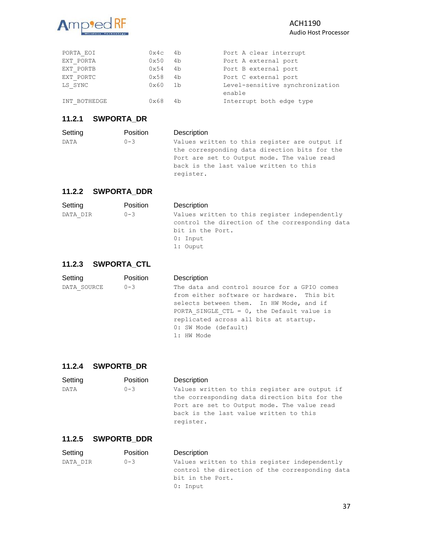

| PORTA EOI    | 0x4c          | 4b   | Port A clear interrupt          |
|--------------|---------------|------|---------------------------------|
| EXT PORTA    | 0x50          | 4b   | Port A external port            |
| EXT PORTB    | 0x54          | 4b   | Port B external port            |
| EXT PORTC    | 0x58          | 4b   | Port C external port            |
| LS SYNC      | 0x60          | - 1b | Level-sensitive synchronization |
|              |               |      | enable                          |
| INT BOTHEDGE | $0 \times 68$ | 4b   | Interrupt both edge type        |

# **11.2.1 SWPORTA\_DR**

| Position | Description |                                                                                                                                                                                         |
|----------|-------------|-----------------------------------------------------------------------------------------------------------------------------------------------------------------------------------------|
| $0 - 3$  |             |                                                                                                                                                                                         |
|          |             |                                                                                                                                                                                         |
|          |             |                                                                                                                                                                                         |
|          |             |                                                                                                                                                                                         |
|          | register.   |                                                                                                                                                                                         |
|          |             | Values written to this register are output if<br>the corresponding data direction bits for the<br>Port are set to Output mode. The value read<br>back is the last value written to this |

#### **11.2.2 SWPORTA\_DDR**

| Setting  | Position | Description                                                                                                                                    |
|----------|----------|------------------------------------------------------------------------------------------------------------------------------------------------|
| DATA DIR | $0 - 3$  | Values written to this register independently<br>control the direction of the corresponding data<br>bit in the Port.<br>$0:$ Input<br>1: Ouput |

#### **11.2.3 SWPORTA\_CTL**

| Setting     | Position | Description                                   |
|-------------|----------|-----------------------------------------------|
| DATA SOURCE | $0 - 3$  | The data and control source for a GPIO comes  |
|             |          | from either software or hardware. This bit    |
|             |          | selects between them. In HW Mode, and if      |
|             |          | PORTA SINGLE CTL = $0$ , the Default value is |
|             |          | replicated across all bits at startup.        |
|             |          | 0: SW Mode (default)                          |
|             |          | 1: HW Mode                                    |
|             |          |                                               |

#### **11.2.4 SWPORTB\_DR**

| Setting     | <b>Position</b> | Description                                   |                                               |
|-------------|-----------------|-----------------------------------------------|-----------------------------------------------|
| <b>DATA</b> | $0 - 3$         |                                               | Values written to this register are output if |
|             |                 | the corresponding data direction bits for the |                                               |
|             |                 | Port are set to Output mode. The value read   |                                               |
|             |                 | back is the last value written to this        |                                               |
|             |                 | register.                                     |                                               |
|             |                 |                                               |                                               |

#### **11.2.5 SWPORTB\_DDR**

| Setting  | Position | Description                                     |
|----------|----------|-------------------------------------------------|
| DATA DIR | $0 - 3$  | Values written to this register independently   |
|          |          | control the direction of the corresponding data |
|          |          | bit in the Port.                                |
|          |          | $0:$ Input                                      |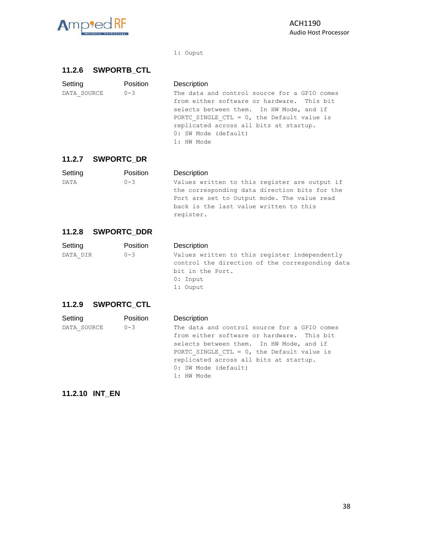

#### 1: Ouput

#### **11.2.6 SWPORTB\_CTL**

| Setting     | Position | Description                                                                                                                                                                                                                                                             |
|-------------|----------|-------------------------------------------------------------------------------------------------------------------------------------------------------------------------------------------------------------------------------------------------------------------------|
| DATA SOURCE | $0 - 3$  | The data and control source for a GPIO comes<br>from either software or hardware. This bit<br>selects between them. In HW Mode, and if<br>PORTC SINGLE CTL = $0$ , the Default value is<br>replicated across all bits at startup.<br>0: SW Mode (default)<br>1: HW Mode |
|             |          |                                                                                                                                                                                                                                                                         |

#### **11.2.7 SWPORTC\_DR**

| Setting     | Position | Description                                   |
|-------------|----------|-----------------------------------------------|
| <b>DATA</b> | $0 - 3$  | Values written to this register are output if |
|             |          | the corresponding data direction bits for the |
|             |          | Port are set to Output mode. The value read   |
|             |          | back is the last value written to this        |
|             |          | register.                                     |

#### **11.2.8 SWPORTC\_DDR**

| Setting  | Position | Description                                                                                                                                  |
|----------|----------|----------------------------------------------------------------------------------------------------------------------------------------------|
| DATA DIR | $0 - 3$  | Values written to this register independently<br>control the direction of the corresponding data<br>bit in the Port.<br>0: Input<br>1: Ouput |

# **11.2.9 SWPORTC\_CTL**

| Setting     | Position | Description                                                                                |
|-------------|----------|--------------------------------------------------------------------------------------------|
| DATA SOURCE | $0 - 3$  | The data and control source for a GPIO comes<br>from either software or hardware. This bit |
|             |          | selects between them. In HW Mode, and if                                                   |
|             |          | PORTC SINGLE CTL = $0$ , the Default value is                                              |
|             |          | replicated across all bits at startup.                                                     |
|             |          | 0: SW Mode (default)                                                                       |
|             |          | 1: HW Mode                                                                                 |

#### **11.2.10 INT\_EN**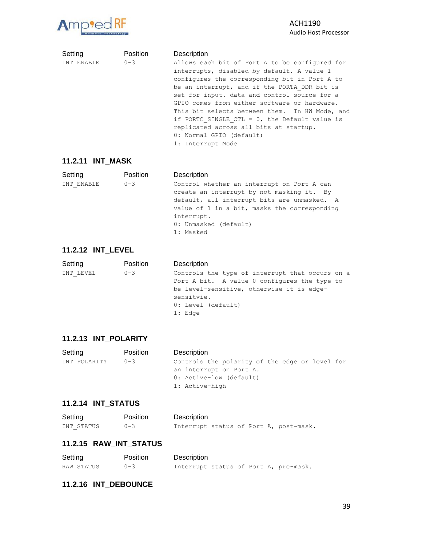

#### ACH1190 Audio Host Processor

| Setting    | Position | Description                                                                                                                                                                                                                                                                                                                                   |
|------------|----------|-----------------------------------------------------------------------------------------------------------------------------------------------------------------------------------------------------------------------------------------------------------------------------------------------------------------------------------------------|
| INT ENABLE | $0 - 3$  | Allows each bit of Port A to be configured for<br>interrupts, disabled by default. A value 1<br>configures the corresponding bit in Port A to                                                                                                                                                                                                 |
|            |          | be an interrupt, and if the PORTA DDR bit is<br>set for input. data and control source for a<br>GPIO comes from either software or hardware.<br>This bit selects between them. In HW Mode, and<br>if PORTC SINGLE CTL = $0$ , the Default value is<br>replicated across all bits at startup.<br>0: Normal GPIO (default)<br>1: Interrupt Mode |

#### **11.2.11 INT\_MASK**

| Setting    | Position | Description                                                                                                                                                                                                                                |
|------------|----------|--------------------------------------------------------------------------------------------------------------------------------------------------------------------------------------------------------------------------------------------|
| INT ENABLE | $0 - 3$  | Control whether an interrupt on Port A can<br>create an interrupt by not masking it. By<br>default, all interrupt bits are unmasked. A<br>value of 1 in a bit, masks the corresponding<br>interrupt.<br>0: Unmasked (default)<br>1: Masked |

#### **11.2.12 INT\_LEVEL**

| Setting   | Position | Description                                                                                                                                                                                   |
|-----------|----------|-----------------------------------------------------------------------------------------------------------------------------------------------------------------------------------------------|
| INT LEVEL | $0 - 3$  | Controls the type of interrupt that occurs on a<br>Port A bit. A value 0 configures the type to<br>be level-sensitive, otherwise it is edge-<br>sensitvie.<br>0: Level (default)<br>$1:$ Edge |

#### **11.2.13 INT\_POLARITY**

| Setting      | Position | Description                                    |
|--------------|----------|------------------------------------------------|
| INT POLARITY | $0 - 3$  | Controls the polarity of the edge or level for |
|              |          | an interrupt on Port A.                        |
|              |          | 0: Active-low (default)                        |
|              |          | 1: Active-high                                 |

#### **11.2.14 INT\_STATUS**

| Setting    | Position | Description |  |  |                                        |
|------------|----------|-------------|--|--|----------------------------------------|
| INT STATUS | $0 - 3$  |             |  |  | Interrupt status of Port A, post-mask. |

#### **11.2.15 RAW\_INT\_STATUS**

| Setting    | Position | Description                           |
|------------|----------|---------------------------------------|
| RAW STATUS | $0 - 3$  | Interrupt status of Port A, pre-mask. |

#### **11.2.16 INT\_DEBOUNCE**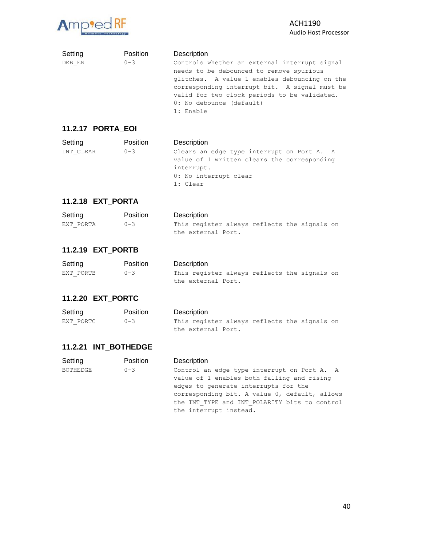

#### ACH1190 Audio Host Processor

| Setting                  | <b>Position</b> | Description                                                                                                                                                                                                                                                                          |
|--------------------------|-----------------|--------------------------------------------------------------------------------------------------------------------------------------------------------------------------------------------------------------------------------------------------------------------------------------|
| DEB EN                   | $0 - 3$         | Controls whether an external interrupt signal<br>needs to be debounced to remove spurious<br>glitches. A value 1 enables debouncing on the<br>corresponding interrupt bit. A signal must be<br>valid for two clock periods to be validated.<br>0: No debounce (default)<br>1: Enable |
| <b>11.2.17 PORTA EOI</b> |                 |                                                                                                                                                                                                                                                                                      |

#### Setting **Position** Description INT CLEAR 0-3 Clears an edge type interrupt on Port A. A value of 1 written clears the corresponding interrupt.

#### 0: No interrupt clear 1: Clear

#### **11.2.18 EXT\_PORTA**

| Setting   | <b>Position</b> | Description                                  |
|-----------|-----------------|----------------------------------------------|
| EXT PORTA | $0 - 3$         | This register always reflects the signals on |
|           |                 | the external Port.                           |

#### **11.2.19 EXT\_PORTB**

| Setting   | <b>Position</b> | Description                                  |
|-----------|-----------------|----------------------------------------------|
| EXT PORTB | $0 - 3$         | This register always reflects the signals on |
|           |                 | the external Port.                           |

#### **11.2.20 EXT\_PORTC**

| Setting   | <b>Position</b> | Description                                  |
|-----------|-----------------|----------------------------------------------|
| EXT PORTC | $0 - 3$         | This register always reflects the signals on |
|           |                 | the external Port.                           |

#### **11.2.21 INT\_BOTHEDGE**

| Setting  | Position | Description                                   |
|----------|----------|-----------------------------------------------|
| BOTHEDGE | $0 - 3$  | Control an edge type interrupt on Port A. A   |
|          |          | value of 1 enables both falling and rising    |
|          |          | edges to generate interrupts for the          |
|          |          | corresponding bit. A value 0, default, allows |
|          |          | the INT TYPE and INT POLARITY bits to control |
|          |          | the interrupt instead.                        |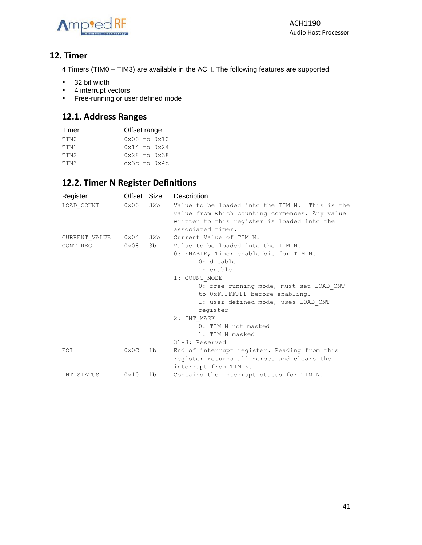

# <span id="page-40-0"></span>**12. Timer**

4 Timers (TIM0 – TIM3) are available in the ACH. The following features are supported:

- 32 bit width
- 4 interrupt vectors
- **Execution** Free-running or user defined mode

# <span id="page-40-1"></span>**12.1. Address Ranges**

| Timer | Offset range |  |                                |  |
|-------|--------------|--|--------------------------------|--|
| TIM0  |              |  | $0 \times 00$ to $0 \times 10$ |  |
| TTM1  |              |  | $0x14$ to $0x24$               |  |
| TTM2  |              |  | $0x28$ to $0x38$               |  |
| TIM3  |              |  | $ox3c$ to $0x4c$               |  |

# <span id="page-40-2"></span>**12.2. Timer N Register Definitions**

<span id="page-40-3"></span>

| Register      | Offset Size   |     | Description                                    |
|---------------|---------------|-----|------------------------------------------------|
| LOAD COUNT    | $0 \times 00$ | 32b | Value to be loaded into the TIM N. This is the |
|               |               |     | value from which counting commences. Any value |
|               |               |     | written to this register is loaded into the    |
|               |               |     | associated timer.                              |
| CURRENT VALUE | $0\times04$   | 32b | Current Value of TIM N.                        |
| CONT REG      | 0x08          | 3b  | Value to be loaded into the TIM N.             |
|               |               |     | 0: ENABLE, Timer enable bit for TIM N.         |
|               |               |     | 0: disable                                     |
|               |               |     | 1: enable                                      |
|               |               |     | 1: COUNT MODE                                  |
|               |               |     | 0: free-running mode, must set LOAD CNT        |
|               |               |     | to OxFFFFFFFF before enabling.                 |
|               |               |     | 1: user-defined mode, uses LOAD CNT            |
|               |               |     | register                                       |
|               |               |     | 2: INT MASK                                    |
|               |               |     | 0: TIM N not masked                            |
|               |               |     | 1: TIM N masked                                |
|               |               |     | 31-3: Reserved                                 |
| EOI           | 0x0C          | 1b  | End of interrupt register. Reading from this   |
|               |               |     | register returns all zeroes and clears the     |
|               |               |     | interrupt from TIM N.                          |
| INT STATUS    | 0x10          | 1b  | Contains the interrupt status for TIM N.       |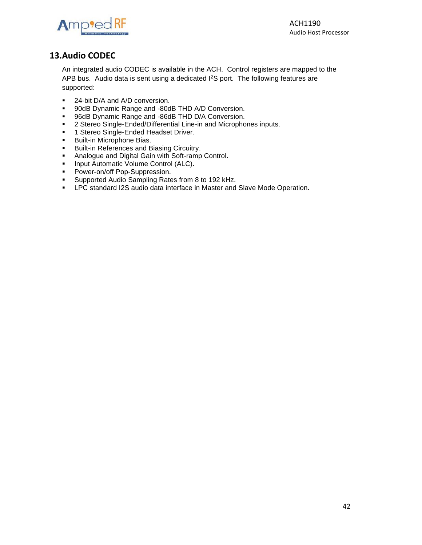

# **13.Audio CODEC**

An integrated audio CODEC is available in the ACH. Control registers are mapped to the APB bus. Audio data is sent using a dedicated I<sup>2</sup>S port. The following features are supported:

- 24-bit D/A and A/D conversion.
- 90dB Dynamic Range and -80dB THD A/D Conversion.
- 96dB Dynamic Range and -86dB THD D/A Conversion.
- 2 Stereo Single-Ended/Differential Line-in and Microphones inputs.
- **1 Stereo Single-Ended Headset Driver.**
- Built-in Microphone Bias.
- **■** Built-in References and Biasing Circuitry.
- Analogue and Digital Gain with Soft-ramp Control.
- **Input Automatic Volume Control (ALC).**
- Power-on/off Pop-Suppression.
- Supported Audio Sampling Rates from 8 to 192 kHz.
- **EXEC** standard I2S audio data interface in Master and Slave Mode Operation.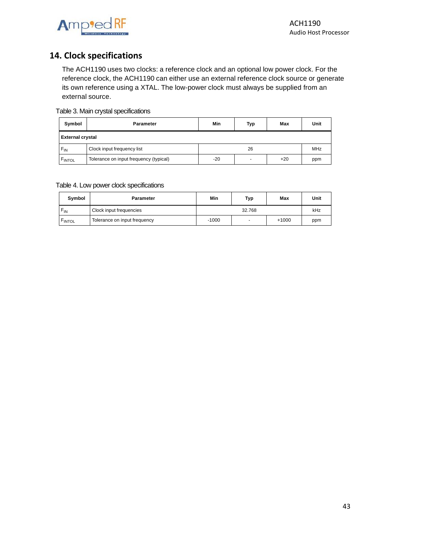

# <span id="page-42-0"></span>**14. Clock specifications**

The ACH1190 uses two clocks: a reference clock and an optional low power clock. For the reference clock, the ACH1190 can either use an external reference clock source or generate its own reference using a XTAL. The low-power clock must always be supplied from an external source.

#### Table 3. Main crystal specifications

| Symbol                  | <b>Parameter</b>                       | Min | <b>Typ</b>               | Max   | Unit       |
|-------------------------|----------------------------------------|-----|--------------------------|-------|------------|
| <b>External crystal</b> |                                        |     |                          |       |            |
| $F_{IN}$                | Clock input frequency list             |     | 26                       |       | <b>MHz</b> |
| FINTOL                  | Tolerance on input frequency (typical) | -20 | $\overline{\phantom{a}}$ | $+20$ | ppm        |

#### Table 4. Low power clock specifications

| Symbol          | <b>Parameter</b>             | Min     | Typ    | Max     | Unit |
|-----------------|------------------------------|---------|--------|---------|------|
| $F_{\text{IN}}$ | Clock input frequencies      |         | 32.768 |         | kHz  |
| <b>FINTOL</b>   | Tolerance on input frequency | $-1000$ | $\,$   | $+1000$ | ppm  |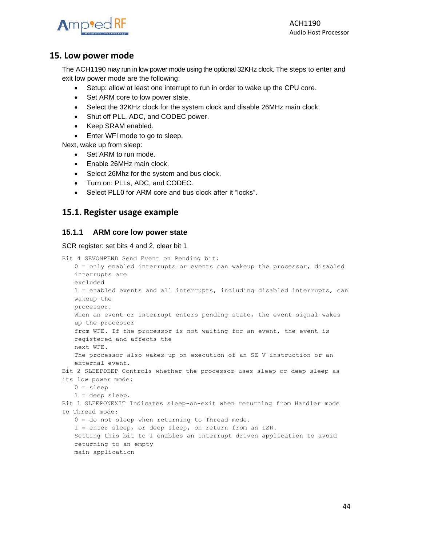

ACH1190 Audio Host Processor

#### <span id="page-43-0"></span>**15. Low power mode**

The ACH1190 may run in low power mode using the optional 32KHz clock. The steps to enter and exit low power mode are the following:

- Setup: allow at least one interrupt to run in order to wake up the CPU core.
- Set ARM core to low power state.
- Select the 32KHz clock for the system clock and disable 26MHz main clock.
- Shut off PLL, ADC, and CODEC power.
- Keep SRAM enabled.
- Enter WFI mode to go to sleep.

Next, wake up from sleep:

- Set ARM to run mode.
- Enable 26MHz main clock.
- Select 26Mhz for the system and bus clock.
- Turn on: PLLs, ADC, and CODEC.
- Select PLL0 for ARM core and bus clock after it "locks".

#### <span id="page-43-1"></span>**15.1. Register usage example**

#### **15.1.1 ARM core low power state**

SCR register: set bits 4 and 2, clear bit 1

```
Bit 4 SEVONPEND Send Event on Pending bit:
   0 = only enabled interrupts or events can wakeup the processor, disabled 
   interrupts are
   excluded
   1 = enabled events and all interrupts, including disabled interrupts, can 
   wakeup the
   processor.
   When an event or interrupt enters pending state, the event signal wakes 
   up the processor
   from WFE. If the processor is not waiting for an event, the event is 
   registered and affects the
   next WFE.
   The processor also wakes up on execution of an SE V instruction or an 
   external event.
Bit 2 SLEEPDEEP Controls whether the processor uses sleep or deep sleep as 
its low power mode:
   0 = sleep1 = deep sleep.
Bit 1 SLEEPONEXIT Indicates sleep-on-exit when returning from Handler mode 
to Thread mode:
   0 = do not sleep when returning to Thread mode.
   1 = enter sleep, or deep sleep, on return from an ISR.
   Setting this bit to 1 enables an interrupt driven application to avoid 
   returning to an empty
   main application
```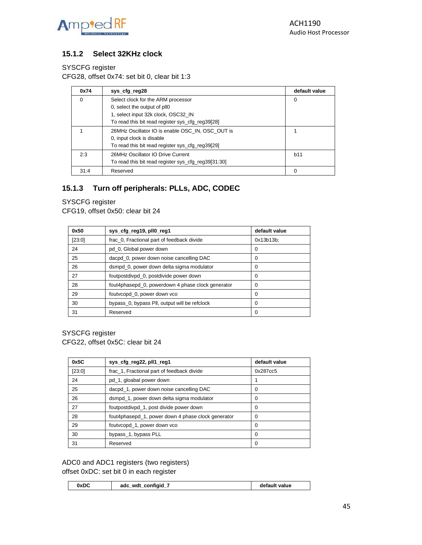

#### **15.1.2 Select 32KHz clock**

#### SYSCFG register

CFG28, offset 0x74: set bit 0, clear bit 1:3

| 0x74     | sys_cfg_reg28                                       | default value |
|----------|-----------------------------------------------------|---------------|
| $\Omega$ | Select clock for the ARM processor                  | 0             |
|          | 0, select the output of pll0                        |               |
|          | 1, select input 32k clock, OSC32 IN                 |               |
|          | To read this bit read register sys_cfg_reg39[28]    |               |
|          | 26MHz Oscillator IO is enable OSC_IN, OSC_OUT is    |               |
|          | 0, input clock is disable                           |               |
|          | To read this bit read register sys_cfg_reg39[29]    |               |
| 2:3      | 26MHz Oscillator IO Drive Current                   | b11           |
|          | To read this bit read register sys_cfg_reg39[31:30] |               |
| 31:4     | Reserved                                            |               |

#### **15.1.3 Turn off peripherals: PLLs, ADC, CODEC**

#### SYSCFG register

CFG19, offset 0x50: clear bit 24

| 0x50   | sys_cfg_reg19, pll0_reg1                          | default value |
|--------|---------------------------------------------------|---------------|
| [23:0] | frac_0, Fractional part of feedback divide        | $0x13b13b$ :  |
| 24     | pd_0, Global power down                           | 0             |
| 25     | dacpd_0, power down noise cancelling DAC          | 0             |
| 26     | dsmpd 0, power down delta sigma modulator         | 0             |
| 27     | foutpostdivpd_0, postdivide power down            | 0             |
| 28     | fout4phasepd_0, powerdown 4 phase clock generator | 0             |
| 29     | foutvcopd_0, power down vco                       | 0             |
| 30     | bypass_0, bypass PII, output will be refclock     | 0             |
| 31     | Reserved                                          | 0             |

SYSCFG register CFG22, offset 0x5C: clear bit 24

| 0x5C   | sys_cfg_reg22, pll1_reg1                           | default value |
|--------|----------------------------------------------------|---------------|
| [23:0] | frac_1, Fractional part of feedback divide         | 0x287cc5      |
| 24     | pd_1, gloabal power down                           |               |
| 25     | dacpd_1, power down noise cancelling DAC           | 0             |
| 26     | dsmpd_1, power down delta sigma modulator          | 0             |
| 27     | foutpostdivpd_1, post divide power down            | 0             |
| 28     | fout4phasepd_1, power down 4 phase clock generator | 0             |
| 29     | foutvcopd_1, power down vco                        | 0             |
| 30     | bypass_1, bypass PLL                               | $\Omega$      |
| 31     | Reserved                                           | 0             |

ADC0 and ADC1 registers (two registers) offset 0xDC: set bit 0 in each register

| 0xDC<br>confiaid<br>wdt<br>adc<br>value<br>петаш. |
|---------------------------------------------------|
|---------------------------------------------------|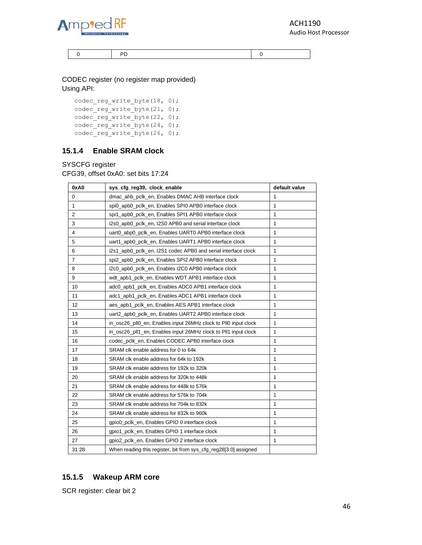

ACH1190 Audio Host Processor

0 PD 0

CODEC register (no register map provided) Using API:

codec\_reg\_write\_byte(18, 0); codec\_reg\_write\_byte(21, 0); codec\_reg\_write\_byte(22, 0);  $\overline{\text{codec} - \text{reg} - \text{write}}$  byte(24, 0); codec\_reg\_write\_byte(26, 0);

#### **15.1.4 Enable SRAM clock**

SYSCFG register

CFG39, offset 0xA0: set bits 17:24

| 0xA0           | sys_cfg_reg39, clock_enable                                      | default value |
|----------------|------------------------------------------------------------------|---------------|
| 0              | dmac ahb pclk en, Enables DMAC AHB interface clock               | 1             |
| $\mathbf{1}$   | spi0_apb0_pclk_en, Enables SPI0 APB0 interface clock             | 1             |
| 2              | spi1_apb0_pclk_en, Enables SPI1 APB0 interface clock             | $\mathbf{1}$  |
| 3              | i2s0 apb0 pclk en, I2S0 APB0 and serial interface clock          | 1             |
| $\overline{4}$ | uart0 abp0 pclk en, Enables UART0 APB0 interface clock           | 1             |
| 5              | uart1_apb0_pclk_en, Enables UART1 APB0 interface clock           | 1             |
| 6              | i2s1_apb0_pclk_en, I2S1 codec APB0 and serial interface clock    | 1             |
| $\overline{7}$ | spi2 apb0 pclk en, Enables SPI2 APB0 interface clock             | 1             |
| 8              | i2c0_apb0_pclk_en, Enables I2C0 APB0 interface clock             | 1             |
| 9              | wdt_apb1_pclk_en, Enables WDT APB1 interface clock               | 1             |
| 10             | adc0_apb1_pclk_en, Enables ADC0 APB1 interface clock             | 1             |
| 11             | adc1_apb1_pclk_en, Enables ADC1 APB1 interface clock             | 1             |
| 12             | aes_apb1_pclk_en, Enables AES APB1 interface clock               | 1             |
| 13             | uart2_apb0_pclk_en, Enables UART2 APB0 interface clock           | 1             |
| 14             | in_osc26_pll0_en, Enables input 26MHz clock to Pll0 input clock  | 1             |
| 15             | in osc26 pll1 en, Enables input 26MHz clock to Pll1 input clock  | 1             |
| 16             | codec_pclk_en, Enables CODEC APB0 interface clock                | 1             |
| 17             | SRAM clk enable address for 0 to 64k                             | 1             |
| 18             | SRAM clk enable address for 64k to 192k                          | 1             |
| 19             | SRAM clk enable address for 192k to 320k                         | 1             |
| 20             | SRAM clk enable address for 320k to 448k                         | 1             |
| 21             | SRAM clk enable address for 448k to 576k                         | 1             |
| 22             | SRAM clk enable address for 576k to 704k                         | 1             |
| 23             | SRAM clk enable address for 704k to 832k                         | 1             |
| 24             | SRAM clk enable address for 832k to 960k                         | 1             |
| 25             | gpio0_pclk_en, Enables GPIO 0 interface clock                    | 1             |
| 26             | gpio1_pclk_en, Enables GPIO 1 interface clock                    | 1             |
| 27             | gpio2_pclk_en, Enables GPIO 2 interface clock                    | 1             |
| 31:28          | When reading this register, bit from sys_cfg_reg28[3:0] assigned |               |

#### **15.1.5 Wakeup ARM core**

SCR register: clear bit 2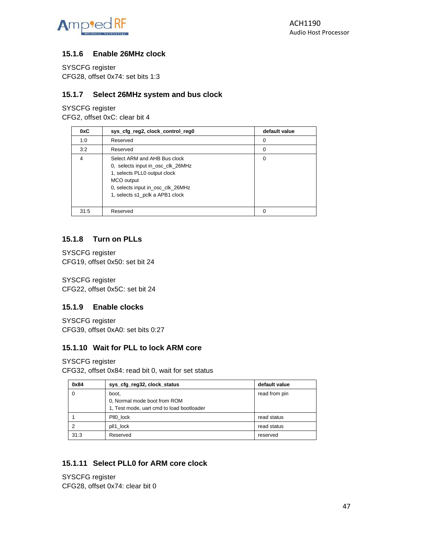

#### **15.1.6 Enable 26MHz clock**

SYSCFG register CFG28, offset 0x74: set bits 1:3

#### **15.1.7 Select 26MHz system and bus clock**

SYSCFG register CFG2, offset 0xC: clear bit 4

| 0xC  | sys_cfg_reg2, clock_control_reg0                                                                                                                                                        | default value |
|------|-----------------------------------------------------------------------------------------------------------------------------------------------------------------------------------------|---------------|
| 1:0  | Reserved                                                                                                                                                                                | 0             |
| 3:2  | Reserved                                                                                                                                                                                | 0             |
| 4    | Select ARM and AHB Bus clock<br>0, selects input in_osc_clk_26MHz<br>1, selects PLL0 output clock<br>MCO output<br>0, selects input in_osc_clk_26MHz<br>1, selects s1_pclk a APB1 clock | 0             |
| 31:5 | Reserved                                                                                                                                                                                |               |

#### **15.1.8 Turn on PLLs**

SYSCFG register CFG19, offset 0x50: set bit 24

SYSCFG register CFG22, offset 0x5C: set bit 24

#### **15.1.9 Enable clocks**

SYSCFG register CFG39, offset 0xA0: set bits 0:27

#### **15.1.10 Wait for PLL to lock ARM core**

SYSCFG register CFG32, offset 0x84: read bit 0, wait for set status

| 0x84 | sys_cfg_reg32, clock_status                                                        | default value |
|------|------------------------------------------------------------------------------------|---------------|
| 0    | boot.<br>0, Normal mode boot from ROM<br>1. Test mode, uart cmd to load bootloader | read from pin |
|      | PII0 lock                                                                          | read status   |
| ◠    | pll1 lock                                                                          | read status   |
| 31:3 | Reserved                                                                           | reserved      |

#### **15.1.11 Select PLL0 for ARM core clock**

SYSCFG register CFG28, offset 0x74: clear bit 0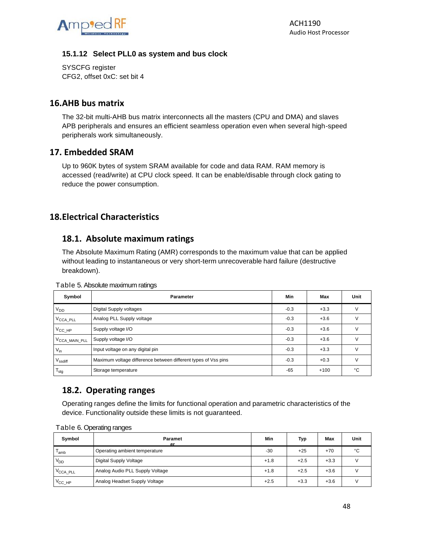

#### **15.1.12 Select PLL0 as system and bus clock**

SYSCFG register CFG2, offset 0xC: set bit 4

#### <span id="page-47-0"></span>**16.AHB bus matrix**

The 32-bit multi-AHB bus matrix interconnects all the masters (CPU and DMA) and slaves APB peripherals and ensures an efficient seamless operation even when several high-speed peripherals work simultaneously.

#### <span id="page-47-1"></span>**17. Embedded SRAM**

Up to 960K bytes of system SRAM available for code and data RAM. RAM memory is accessed (read/write) at CPU clock speed. It can be enable/disable through clock gating to reduce the power consumption.

# <span id="page-47-2"></span>**18.Electrical Characteristics**

# <span id="page-47-3"></span>**18.1. Absolute maximum ratings**

The Absolute Maximum Rating (AMR) corresponds to the maximum value that can be applied without leading to instantaneous or very short-term unrecoverable hard failure (destructive breakdown).

| Symbol                    | <b>Parameter</b>                                               | Min    | Max    | Unit   |
|---------------------------|----------------------------------------------------------------|--------|--------|--------|
| $V_{DD}$                  | Digital Supply voltages                                        | $-0.3$ | $+3.3$ | V      |
| V <sub>CCA_PLL</sub>      | Analog PLL Supply voltage                                      | $-0.3$ | $+3.6$ |        |
| $V_{CC}$ $HP$             | Supply voltage I/O                                             | $-0.3$ | $+3.6$ | v      |
| V <sub>CCA_MAIN_PLL</sub> | Supply voltage I/O                                             | $-0.3$ | $+3.6$ |        |
| $V_{in}$                  | Input voltage on any digital pin                               | $-0.3$ | $+3.3$ | $\vee$ |
| $V_{\text{ssdiff}}$       | Maximum voltage difference between different types of Vss pins | $-0.3$ | $+0.3$ | $\vee$ |
| $T_{\text{stg}}$          | Storage temperature                                            | $-65$  | $+100$ | °C     |

Table 5. Absolute maximum ratings

# <span id="page-47-4"></span>**18.2. Operating ranges**

Operating ranges define the limits for functional operation and parametric characteristics of the device. Functionality outside these limits is not guaranteed.

| Symbol                | <b>Paramet</b><br>er            | Min    | Typ    | Max    | Unit |
|-----------------------|---------------------------------|--------|--------|--------|------|
| 'amb                  | Operating ambient temperature   | $-30$  | $+25$  | $+70$  | °C   |
| $V_{DD}$              | Digital Supply Voltage          | $+1.8$ | $+2.5$ | $+3.3$ |      |
| $V_{\text{CCA\_PLL}}$ | Analog Audio PLL Supply Voltage | $+1.8$ | $+2.5$ | $+3.6$ |      |
| $V_{\text{CC\_HP}}$   | Analog Headset Supply Voltage   | $+2.5$ | $+3.3$ | $+3.6$ |      |

Table 6. Operating ranges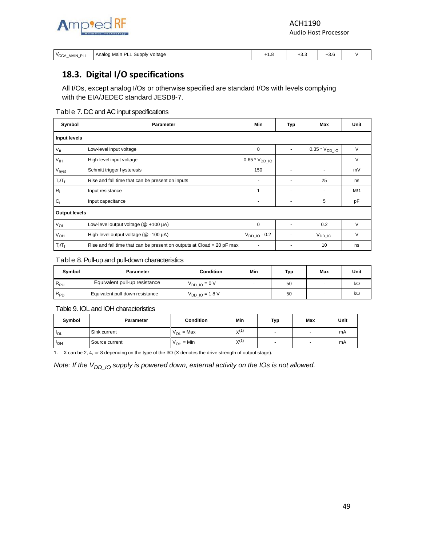

ACH1190 Audio Host Processor

| $V \cap \cap$<br><b>MAIN PLI</b><br><b>UUA</b><br>ᅩ<br><u>.</u> | DΙ<br>. Supply Voltage<br>Analog Main | <br>$\sim$ | ⊤∪.∪<br>$-$ | ⊤∪.∪<br>. . |  |
|-----------------------------------------------------------------|---------------------------------------|------------|-------------|-------------|--|
|-----------------------------------------------------------------|---------------------------------------|------------|-------------|-------------|--|

# <span id="page-48-0"></span>**18.3. Digital I/O specifications**

All I/Os, except analog I/Os or otherwise specified are standard I/Os with levels complying with the EIA/JEDEC standard JESD8-7.

#### Table 7. DC and AC input specifications

| Symbol               | <b>Parameter</b>                                                       | <b>Min</b>        | Typ | Max                | Unit      |
|----------------------|------------------------------------------------------------------------|-------------------|-----|--------------------|-----------|
| Input levels         |                                                                        |                   |     |                    |           |
| $V_{IL}$             | Low-level input voltage                                                | 0                 |     | $0.35 * VDDIO$     | V         |
| V <sub>IH</sub>      | High-level input voltage                                               | $0.65 * VDD\_IO$  |     |                    | V         |
| V <sub>hyst</sub>    | Schmitt trigger hysteresis                                             | 150               |     |                    | mV        |
| $T_r/T_f$            | Rise and fall time that can be present on inputs                       |                   |     | 25                 | ns        |
| $R_i$                | Input resistance                                                       | 1                 |     |                    | $M\Omega$ |
| $C_i$                | Input capacitance                                                      |                   |     | 5                  | pF        |
| <b>Output levels</b> |                                                                        |                   |     |                    |           |
| $V_{OL}$             | Low-level output voltage ( $@ + 100 \mu A$ )                           | 0                 |     | 0.2                | V         |
| $V_{OH}$             | High-level output voltage (@ -100 µA)                                  | $V_{DD}$ 10 - 0.2 |     | V <sub>DD</sub> IO | V         |
| $T_r/T_f$            | Rise and fall time that can be present on outputs at Cload = 20 pF max |                   |     | 10                 | ns        |

#### Table 8. Pull-up and pull-down characteristics

| Symbol   | Parameter                       | <b>Condition</b>               | Min | Typ | Max                      | Unit      |
|----------|---------------------------------|--------------------------------|-----|-----|--------------------------|-----------|
| $R_{PU}$ | Equivalent pull-up resistance   | $V_{DD~IO} = 0 V$              |     | 50  | $\overline{\phantom{0}}$ | $k\Omega$ |
| $R_{PD}$ | Equivalent pull-down resistance | $V_{DD}$ <sub>IO</sub> = 1.8 V |     | 50  | $\overline{\phantom{0}}$ | $k\Omega$ |

#### Table 9. IOL and IOH characteristics

| Symbol     | <b>Parameter</b> | <b>Condition</b>           | Min       | Typ                      | <b>Max</b> | Unit |
|------------|------------------|----------------------------|-----------|--------------------------|------------|------|
| $"$ lol    | Sink current     | $=$ Max<br>V <sub>OL</sub> | $X^{(1)}$ | $\overline{\phantom{a}}$ | -          | mA   |
| <b>POH</b> | Source current   | $V_{OH}$ = Min             | $X^{(1)}$ | $\overline{\phantom{a}}$ |            | mA   |

1. X can be 2, 4, or 8 depending on the type of the I/O (X denotes the drive strength of output stage).

*Note: If the*  $V_{DD-10}$  *supply is powered down, external activity on the IOs is not allowed.*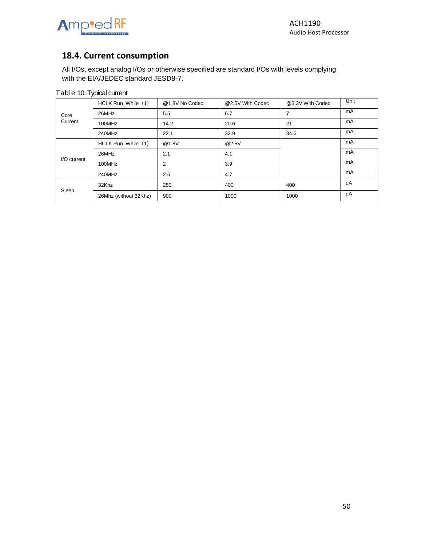



# <span id="page-49-0"></span>**18.4. Current consumption**

All I/Os, except analog I/Os or otherwise specified are standard I/Os with levels complying with the EIA/JEDEC standard JESD8-7.

|             | HCLK Run While (1)    | @1.8V No Codec | @2.5V With Codec | @3.3V With Codec | Unit |
|-------------|-----------------------|----------------|------------------|------------------|------|
| Core        | 26MHz                 | 5.5            | 6.7              | 7                | mA   |
| Current     | 100MHz                | 14.2           | 20.6             | 21               | mA   |
|             | 240MHz                | 22.1           | 32.9             | 34.6             | mA   |
|             | HCLK Run While (1)    | @1.8V          | @2.5V            |                  | mA   |
|             | 26MHz                 | 2.1            | 4.1              |                  | mA   |
| I/O current | 100MHz                | $\overline{2}$ | 3.9              |                  | mA   |
|             | 240MHz                | 2.6            | 4.7              |                  | mA   |
|             | 32Khz                 | 250            | 400              | 400              | uA   |
| Sleep       | 26Mhz (without 32Khz) | 900            | 1000             | 1000             | uA   |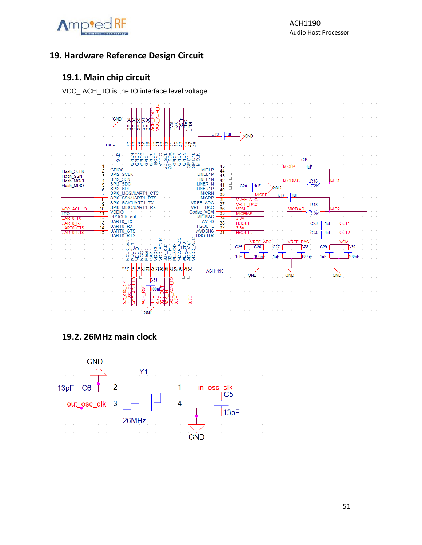

# <span id="page-50-0"></span>**19. Hardware Reference Design Circuit**

# <span id="page-50-1"></span>**19.1. Main chip circuit**

VCC\_ ACH\_ IO is the IO interface level voltage



# <span id="page-50-2"></span>**19.2. 26MHz main clock**

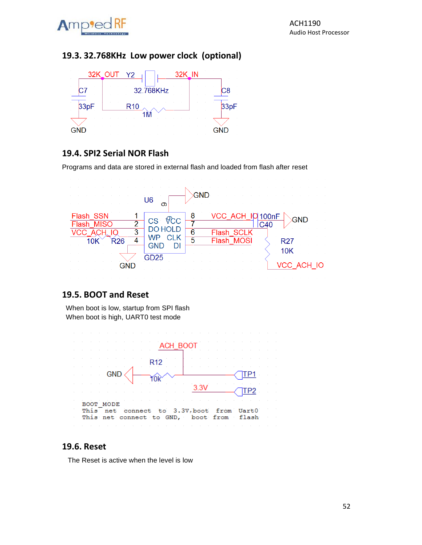

# <span id="page-51-0"></span>**19.3. 32.768KHz Low power clock (optional)**



# <span id="page-51-1"></span>**19.4. SPI2 Serial NOR Flash**

Programs and data are stored in external flash and loaded from flash after reset



# <span id="page-51-2"></span>**19.5. BOOT and Reset**

 When boot is low, startup from SPI flash When boot is high, UART0 test mode



# <span id="page-51-3"></span>**19.6. Reset**

The Reset is active when the level is low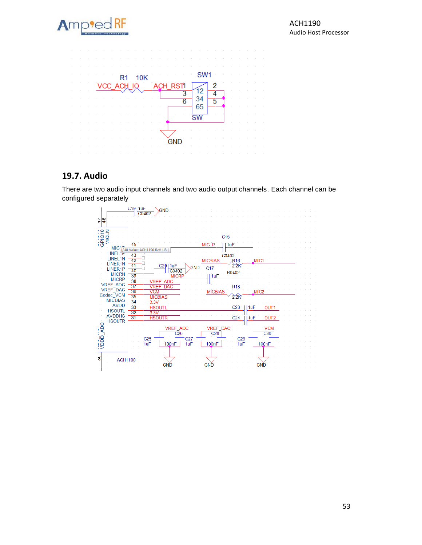



# <span id="page-52-0"></span>**19.7. Audio**

There are two audio input channels and two audio output channels. Each channel can be configured separately

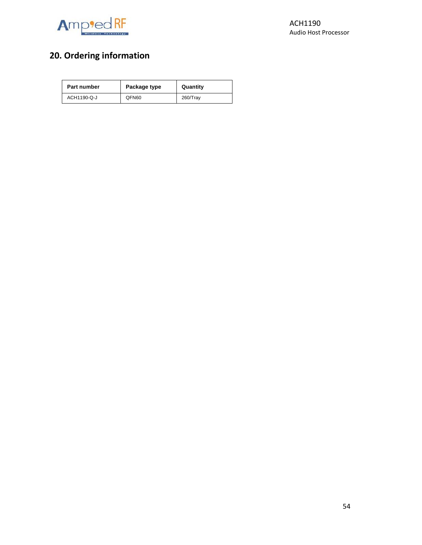

# <span id="page-53-0"></span>**20. Ordering information**

| Part number | Package type | Quantity |
|-------------|--------------|----------|
| ACH1190-Q-J | QFN60        | 260/Tray |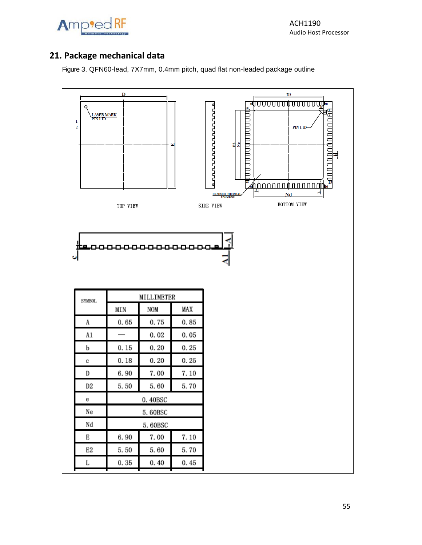

# <span id="page-54-0"></span>**21. Package mechanical data**

Figure 3. QFN60-lead, 7X7mm, 0.4mm pitch, quad flat non-leaded package outline